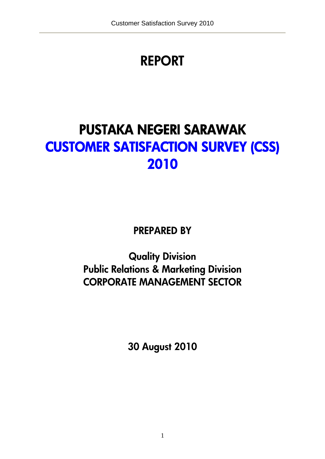# **REPORT**

# **PUSTAKA NEGERI SARAWAK CUSTOMER SATISFACTION SURVEY (CSS) 2010**

**PREPARED BY** 

**Quality Division Public Relations & Marketing Division CORPORATE MANAGEMENT SECTOR** 

**30 August 2010**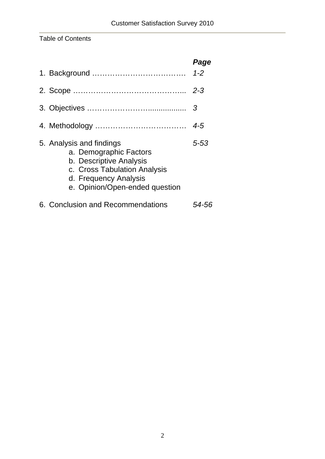## Table of Contents

|                                                                                                                                                                          | Page<br>$1 - 2$ |
|--------------------------------------------------------------------------------------------------------------------------------------------------------------------------|-----------------|
|                                                                                                                                                                          | $2 - 3$         |
|                                                                                                                                                                          | 3               |
|                                                                                                                                                                          | $4 - 5$         |
| 5. Analysis and findings<br>a. Demographic Factors<br>b. Descriptive Analysis<br>c. Cross Tabulation Analysis<br>d. Frequency Analysis<br>e. Opinion/Open-ended question | 5-53            |
| 6. Conclusion and Recommendations                                                                                                                                        | 54-56           |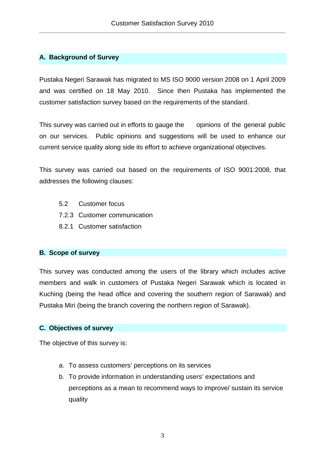## **A. Background of Survey**

Pustaka Negeri Sarawak has migrated to MS ISO 9000 version 2008 on 1 April 2009 and was certified on 18 May 2010. Since then Pustaka has implemented the customer satisfaction survey based on the requirements of the standard.

This survey was carried out in efforts to gauge the opinions of the general public on our services. Public opinions and suggestions will be used to enhance our current service quality along side its effort to achieve organizational objectives.

This survey was carried out based on the requirements of ISO 9001:2008, that addresses the following clauses:

- 5.2 Customer focus
- 7.2.3 Customer communication
- 8.2.1 Customer satisfaction

## **B. Scope of survey**

This survey was conducted among the users of the library which includes active members and walk in customers of Pustaka Negeri Sarawak which is located in Kuching (being the head office and covering the southern region of Sarawak) and Pustaka Miri (being the branch covering the northern region of Sarawak).

## **C. Objectives of survey**

The objective of this survey is:

- a. To assess customers' perceptions on its services
- b. To provide information in understanding users' expectations and perceptions as a mean to recommend ways to improve/ sustain its service quality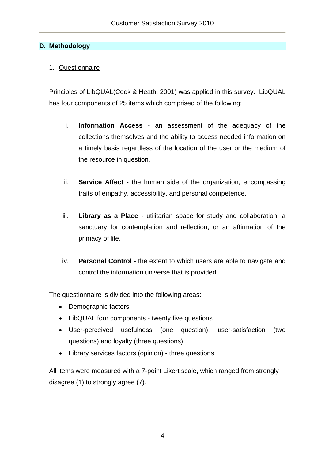## **D. Methodology**

## 1. Questionnaire

Principles of LibQUAL(Cook & Heath, 2001) was applied in this survey. LibQUAL has four components of 25 items which comprised of the following:

- i. **Information Access** an assessment of the adequacy of the collections themselves and the ability to access needed information on a timely basis regardless of the location of the user or the medium of the resource in question.
- ii. **Service Affect** the human side of the organization, encompassing traits of empathy, accessibility, and personal competence.
- iii. **Library as a Place** utilitarian space for study and collaboration, a sanctuary for contemplation and reflection, or an affirmation of the primacy of life.
- iv. **Personal Control** the extent to which users are able to navigate and control the information universe that is provided.

The questionnaire is divided into the following areas:

- Demographic factors
- LibQUAL four components twenty five questions
- User-perceived usefulness (one question), user-satisfaction (two questions) and loyalty (three questions)
- Library services factors (opinion) three questions

All items were measured with a 7-point Likert scale, which ranged from strongly disagree (1) to strongly agree (7).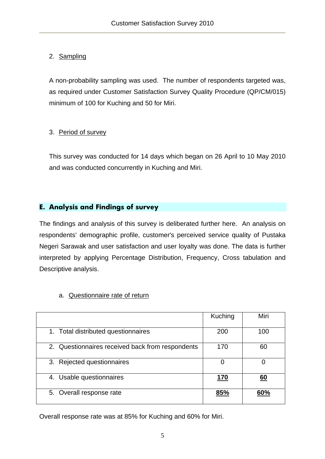## 2. Sampling

A non-probability sampling was used. The number of respondents targeted was, as required under Customer Satisfaction Survey Quality Procedure (QP/CM/015) minimum of 100 for Kuching and 50 for Miri.

## 3. Period of survey

This survey was conducted for 14 days which began on 26 April to 10 May 2010 and was conducted concurrently in Kuching and Miri.

## **E. Analysis and Findings of survey**

The findings and analysis of this survey is deliberated further here. An analysis on respondents' demographic profile, customer's perceived service quality of Pustaka Negeri Sarawak and user satisfaction and user loyalty was done. The data is further interpreted by applying Percentage Distribution, Frequency, Cross tabulation and Descriptive analysis.

|                                                  | Kuching     | Miri      |
|--------------------------------------------------|-------------|-----------|
| 1. Total distributed questionnaires              | 200         | 100       |
| 2. Questionnaires received back from respondents | 170         | 60        |
| 3. Rejected questionnaires                       | 0           | O         |
| Usable questionnaires<br>4.                      | <u> 170</u> | <u>60</u> |
| 5. Overall response rate                         | 85%         | 60%       |

## a. Questionnaire rate of return

Overall response rate was at 85% for Kuching and 60% for Miri.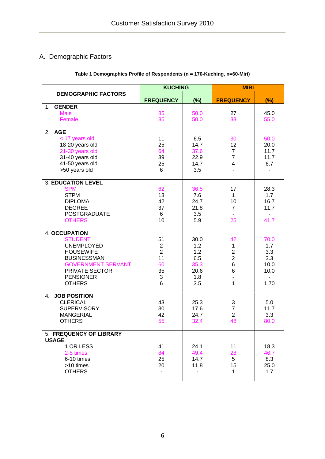## A. Demographic Factors

## **Table 1 Demographics Profile of Respondents (n = 170-Kuching, n=60-Miri)**

|                                                                                                                                                                                           | <b>KUCHING</b>                                                     |                                                         | <b>MIRI</b>                                                |                                                                     |  |
|-------------------------------------------------------------------------------------------------------------------------------------------------------------------------------------------|--------------------------------------------------------------------|---------------------------------------------------------|------------------------------------------------------------|---------------------------------------------------------------------|--|
| <b>DEMOGRAPHIC FACTORS</b>                                                                                                                                                                | <b>FREQUENCY</b>                                                   | (%)                                                     | <b>FREQUENCY</b>                                           | (%)                                                                 |  |
| <b>GENDER</b><br>1.<br><b>Male</b><br>Female                                                                                                                                              | 85<br>85                                                           | 50.0<br>50.0                                            | 27<br>33                                                   | 45.0<br>55.0                                                        |  |
| 2. AGE<br>< 17 years old<br>18-20 years old<br>21-30 years old<br>31-40 years old<br>41-50 years old<br>>50 years old                                                                     | 11<br>25<br>64<br>39<br>25<br>6                                    | 6.5<br>14.7<br>37.6<br>22.9<br>14.7<br>3.5              | 30<br>12<br>$\overline{7}$<br>$\overline{7}$<br>4          | 50.0<br>20.0<br>11.7<br>11.7<br>6.7                                 |  |
| <b>3. EDUCATION LEVEL</b><br><b>SPM</b><br><b>STPM</b><br><b>DIPLOMA</b><br><b>DEGREE</b><br><b>POSTGRADUATE</b><br><b>OTHERS</b>                                                         | 62<br>13<br>42<br>37<br>6<br>10                                    | 36.5<br>7.6<br>24.7<br>21.8<br>3.5<br>5.9               | 17<br>1<br>10<br>$\overline{7}$<br>25                      | 28.3<br>1.7<br>16.7<br>11.7<br>41.7                                 |  |
| <b>4. OCCUPATION</b><br><b>STUDENT</b><br><b>UNEMPLOYED</b><br><b>HOUSEWIFE</b><br><b>BUSINESSMAN</b><br><b>GOVERNMENT SERVANT</b><br>PRIVATE SECTOR<br><b>PENSIONER</b><br><b>OTHERS</b> | 51<br>$\overline{2}$<br>$\overline{2}$<br>11<br>60<br>35<br>3<br>6 | 30.0<br>1.2<br>1.2<br>6.5<br>35.3<br>20.6<br>1.8<br>3.5 | 42<br>1<br>$\overline{c}$<br>$\overline{2}$<br>6<br>6<br>1 | 70.0<br>1.7<br>3.3<br>3.3<br>10.0<br>10.0<br>$\blacksquare$<br>1.70 |  |
| <b>JOB POSITION</b><br>4.<br><b>CLERICAL</b><br><b>SUPERVISORY</b><br><b>MANGERIAL</b><br><b>OTHERS</b>                                                                                   | 43<br>30<br>42<br>55                                               | 25.3<br>17.6<br>24.7<br>32.4                            | 3<br>$\overline{7}$<br>$\overline{2}$<br>48                | 5.0<br>11.7<br>3.3<br>80.0                                          |  |
| 5. FREQUENCY OF LIBRARY<br><b>USAGE</b><br>1 OR LESS<br>2-5 times<br>6-10 times<br>>10 times<br><b>OTHERS</b>                                                                             | 41<br>84<br>25<br>20                                               | 24.1<br>49.4<br>14.7<br>11.8                            | 11<br>28<br>5<br>15<br>1                                   | 18.3<br>46.7<br>8.3<br>25.0<br>1.7                                  |  |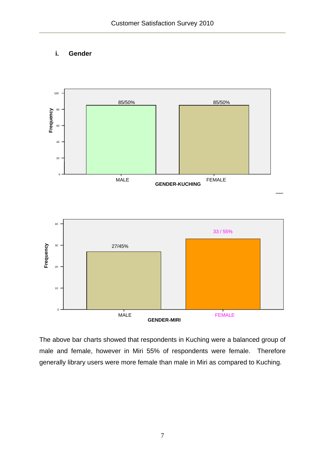## **i. Gender**



The above bar charts showed that respondents in Kuching were a balanced group of male and female, however in Miri 55% of respondents were female. Therefore generally library users were more female than male in Miri as compared to Kuching.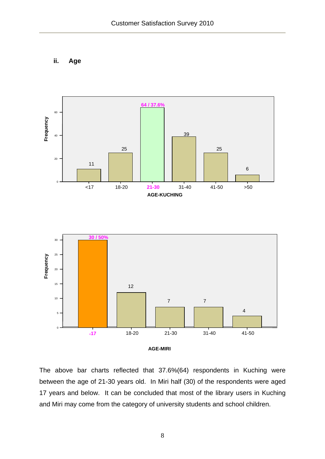## **ii. Age**



The above bar charts reflected that 37.6%(64) respondents in Kuching were between the age of 21-30 years old. In Miri half (30) of the respondents were aged 17 years and below. It can be concluded that most of the library users in Kuching and Miri may come from the category of university students and school children.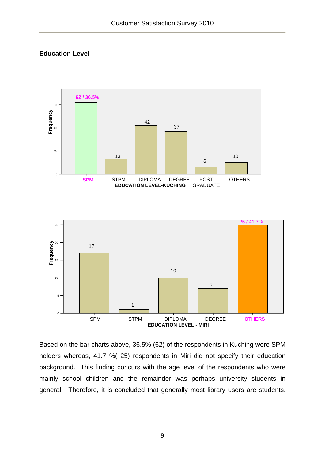## **Education Level**



Based on the bar charts above, 36.5% (62) of the respondents in Kuching were SPM holders whereas, 41.7 %( 25) respondents in Miri did not specify their education background. This finding concurs with the age level of the respondents who were mainly school children and the remainder was perhaps university students in general. Therefore, it is concluded that generally most library users are students.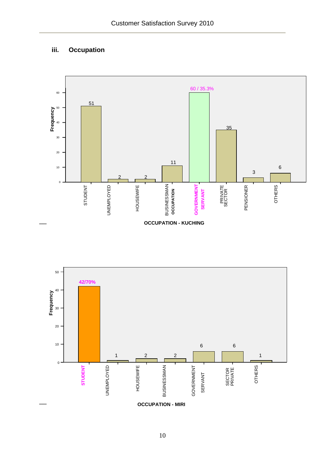## **iii. Occupation**



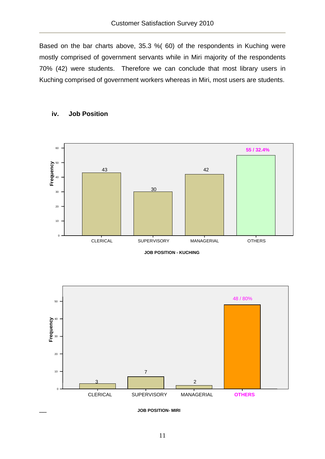Based on the bar charts above, 35.3 %( 60) of the respondents in Kuching were mostly comprised of government servants while in Miri majority of the respondents 70% (42) were students. Therefore we can conclude that most library users in Kuching comprised of government workers whereas in Miri, most users are students.



#### **iv. Job Position**



**JOB POSITION- MIRI**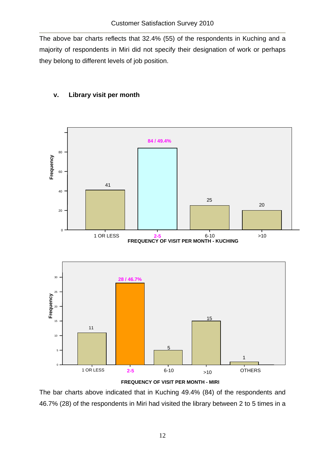The above bar charts reflects that 32.4% (55) of the respondents in Kuching and a majority of respondents in Miri did not specify their designation of work or perhaps they belong to different levels of job position.



## **v. Library visit per month**

**FREQUENCY OF VISIT PER MONTH - MIRI**

The bar charts above indicated that in Kuching 49.4% (84) of the respondents and 46.7% (28) of the respondents in Miri had visited the library between 2 to 5 times in a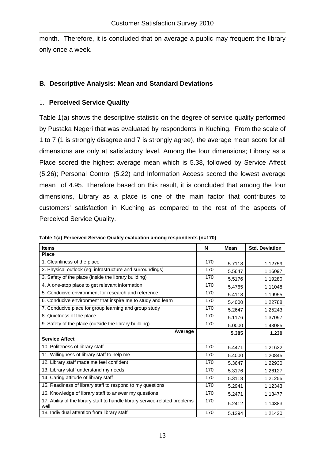month. Therefore, it is concluded that on average a public may frequent the library only once a week.

## **B. Descriptive Analysis: Mean and Standard Deviations**

## 1. **Perceived Service Quality**

Table 1(a) shows the descriptive statistic on the degree of service quality performed by Pustaka Negeri that was evaluated by respondents in Kuching. From the scale of 1 to 7 (1 is strongly disagree and 7 is strongly agree), the average mean score for all dimensions are only at satisfactory level. Among the four dimensions; Library as a Place scored the highest average mean which is 5.38, followed by Service Affect (5.26); Personal Control (5.22) and Information Access scored the lowest average mean of 4.95. Therefore based on this result, it is concluded that among the four dimensions, Library as a place is one of the main factor that contributes to customers' satisfaction in Kuching as compared to the rest of the aspects of Perceived Service Quality.

| <b>Items</b>                                                                        | N   | <b>Mean</b> | <b>Std. Deviation</b> |
|-------------------------------------------------------------------------------------|-----|-------------|-----------------------|
| <b>Place</b>                                                                        |     |             |                       |
| 1. Cleanliness of the place                                                         | 170 | 5.7118      | 1.12759               |
| 2. Physical outlook (eg: infrastructure and surroundings)                           | 170 | 5.5647      | 1.16097               |
| 3. Safety of the place (inside the library building)                                | 170 | 5.5176      | 1.19280               |
| 4. A one-stop place to get relevant information                                     | 170 | 5.4765      | 1.11048               |
| 5. Conducive environment for research and reference                                 | 170 | 5.4118      | 1.19955               |
| 6. Conducive environment that inspire me to study and learn                         | 170 | 5.4000      | 1.22788               |
| 7. Conducive place for group learning and group study                               | 170 | 5.2647      | 1.25243               |
| 8. Quietness of the place                                                           | 170 | 5.1176      | 1.37097               |
| 9. Safety of the place (outside the library building)                               | 170 | 5.0000      | 1.43085               |
| Average                                                                             |     | 5.385       | 1.230                 |
| <b>Service Affect</b>                                                               |     |             |                       |
| 10. Politeness of library staff                                                     | 170 | 5.4471      | 1.21632               |
| 11. Willingness of library staff to help me                                         | 170 | 5.4000      | 1.20845               |
| 12. Library staff made me feel confident                                            | 170 | 5.3647      | 1.22930               |
| 13. Library staff understand my needs                                               | 170 | 5.3176      | 1.26127               |
| 14. Caring attitude of library staff                                                | 170 | 5.3118      | 1.21255               |
| 15. Readiness of library staff to respond to my questions                           | 170 | 5.2941      | 1.12343               |
| 16. Knowledge of library staff to answer my questions                               | 170 | 5.2471      | 1.13477               |
| 17. Ability of the library staff to handle library service-related problems<br>well | 170 | 5.2412      | 1.14383               |
| 18. Individual attention from library staff                                         | 170 | 5.1294      | 1.21420               |

**Table 1(a) Perceived Service Quality evaluation among respondents (n=170)**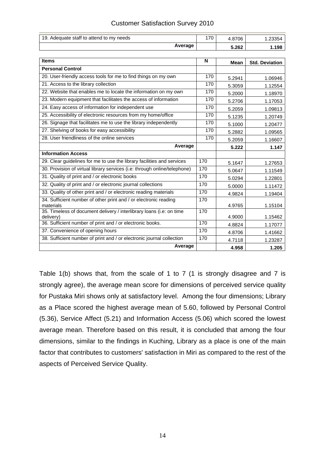|  | <b>Customer Satisfaction Survey 2010</b> |  |  |
|--|------------------------------------------|--|--|
|--|------------------------------------------|--|--|

| 19. Adequate staff to attend to my needs                                          |     | 4.8706      | 1.23354               |
|-----------------------------------------------------------------------------------|-----|-------------|-----------------------|
| Average                                                                           |     | 5.262       | 1.198                 |
|                                                                                   |     |             |                       |
| <b>Items</b>                                                                      | N   | <b>Mean</b> | <b>Std. Deviation</b> |
| <b>Personal Control</b>                                                           |     |             |                       |
| 20. User-friendly access tools for me to find things on my own                    | 170 | 5.2941      | 1.06946               |
| 21. Access to the library collection                                              | 170 | 5.3059      | 1.12554               |
| 22. Website that enables me to locate the information on my own                   | 170 | 5.2000      | 1.18970               |
| 23. Modern equipment that facilitates the access of information                   | 170 | 5.2706      | 1.17053               |
| 24. Easy access of information for independent use                                | 170 | 5.2059      | 1.09813               |
| 25. Accessibility of electronic resources from my home/office                     | 170 | 5.1235      | 1.20749               |
| 26. Signage that facilitates me to use the library independently                  | 170 | 5.1000      | 1.20477               |
| 27. Shelving of books for easy accessibility                                      | 170 | 5.2882      | 1.09565               |
| 28. User friendliness of the online services                                      | 170 | 5.2059      | 1.16607               |
| Average                                                                           |     | 5.222       | 1.147                 |
| <b>Information Access</b>                                                         |     |             |                       |
| 29. Clear guidelines for me to use the library facilities and services            | 170 | 5.1647      | 1.27653               |
| 30. Provision of virtual library services (i.e: through online/telephone)         | 170 | 5.0647      | 1.11549               |
| 31. Quality of print and / or electronic books                                    | 170 | 5.0294      | 1.22801               |
| 32. Quality of print and / or electronic journal collections                      | 170 | 5.0000      | 1.11472               |
| 33. Quality of other print and / or electronic reading materials                  | 170 | 4.9824      | 1.19404               |
| 34. Sufficient number of other print and / or electronic reading                  | 170 |             |                       |
| materials<br>35. Timeless of document delivery / interlibrary loans (i.e: on time | 170 | 4.9765      | 1.15104               |
| delivery)                                                                         |     | 4.9000      | 1.15462               |
| 36. Sufficient number of print and / or electronic books.                         | 170 | 4.8824      | 1.17077               |
| 37. Convenience of opening hours                                                  | 170 | 4.8706      | 1.41662               |
| 38. Sufficient number of print and / or electronic journal collection             | 170 | 4.7118      | 1.23287               |
| Average                                                                           |     | 4.958       | 1.205                 |

Table 1(b) shows that, from the scale of 1 to 7 (1 is strongly disagree and 7 is strongly agree), the average mean score for dimensions of perceived service quality for Pustaka Miri shows only at satisfactory level. Among the four dimensions; Library as a Place scored the highest average mean of 5.60, followed by Personal Control (5.36), Service Affect (5.21) and Information Access (5.06) which scored the lowest average mean. Therefore based on this result, it is concluded that among the four dimensions, similar to the findings in Kuching, Library as a place is one of the main factor that contributes to customers' satisfaction in Miri as compared to the rest of the aspects of Perceived Service Quality.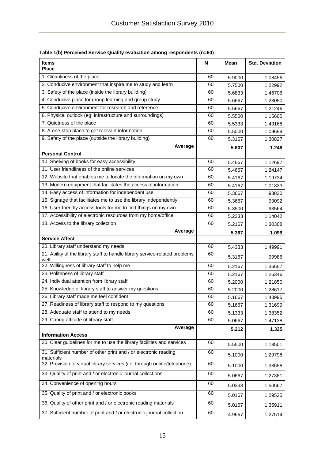| <b>Items</b>                                                                        | N  | Mean   | <b>Std. Deviation</b> |
|-------------------------------------------------------------------------------------|----|--------|-----------------------|
| <b>Place</b>                                                                        |    |        |                       |
| 1. Cleanliness of the place                                                         | 60 | 5.9000 | 1.08456               |
| 2. Conducive environment that inspire me to study and learn                         | 60 | 5.7500 | 1.22992               |
| 3. Safety of the place (inside the library building)                                | 60 | 5.6833 | 1.46706               |
| 4. Conducive place for group learning and group study                               | 60 | 5.6667 | 1.23050               |
| 5. Conducive environment for research and reference                                 | 60 | 5.5667 | 1.21246               |
| 6. Physical outlook (eg: infrastructure and surroundings)                           | 60 | 5.5500 | 1.15605               |
| 7. Quietness of the place                                                           | 60 | 5.5333 | 1.43168               |
| 8. A one-stop place to get relevant information                                     | 60 | 5.5000 | 1.09699               |
| 9. Safety of the place (outside the library building)                               | 60 | 5.3167 | 1.30827               |
| Average                                                                             |    | 5.607  | 1.246                 |
| <b>Personal Control</b>                                                             |    |        |                       |
| 10. Shelving of books for easy accessibility                                        | 60 | 5.4667 | 1.12697               |
| 11. User friendliness of the online services                                        | 60 | 5.4667 | 1.24147               |
| 12. Website that enables me to locate the information on my own                     | 60 | 5.4167 | 1.19734               |
| 13. Modern equipment that facilitates the access of information                     | 60 | 5.4167 | 1.01333               |
| 14. Easy access of information for independent use                                  | 60 | 5.3667 | .93820                |
| 15. Signage that facilitates me to use the library independently                    | 60 | 5.3667 | .99092                |
| 16. User-friendly access tools for me to find things on my own                      | 60 | 5.3500 | .93564                |
| 17. Accessibility of electronic resources from my home/office                       | 60 | 5.2333 | 1.14042               |
| 18. Access to the library collection                                                | 60 | 5.2167 | 1.30308               |
| Average                                                                             |    | 5.367  | 1.099                 |
| <b>Service Affect</b>                                                               |    |        |                       |
| 20. Library staff understand my needs                                               | 60 | 5.4333 | 1.49991               |
| 21. Ability of the library staff to handle library service-related problems<br>well | 60 | 5.3167 | .99986                |
| 22. Willingness of library staff to help me                                         | 60 | 5.2167 | 1.36657               |
| 23. Politeness of library staff                                                     | 60 | 5.2167 | 1.26346               |
| 24. Individual attention from library staff                                         | 60 | 5.2000 | 1.21850               |
| 25. Knowledge of library staff to answer my questions                               | 60 | 5.2000 | 1.28617               |
| 26. Library staff made me feel confident                                            | 60 | 5.1667 | 1.43995               |
| 27. Readiness of library staff to respond to my questions                           | 60 | 5.1667 | 1.31699               |
| 28. Adequate staff to attend to my needs                                            | 60 | 5.1333 | 1.38352               |
| 29. Caring attitude of library staff                                                | 60 | 5.0667 | 1.47138               |
| Average                                                                             |    | 5.212  | 1.325                 |
| <b>Information Access</b>                                                           |    |        |                       |
| 30. Clear guidelines for me to use the library facilities and services              | 60 | 5.5500 | 1.18501               |
| 31. Sufficient number of other print and / or electronic reading<br>materials       | 60 | 5.1000 | 1.29798               |
| 32. Provision of virtual library services (i.e: through online/telephone)           | 60 | 5.1000 | 1.33658               |
| 33. Quality of print and / or electronic journal collections                        | 60 | 5.0667 | 1.27381               |
| 34. Convenience of opening hours                                                    | 60 | 5.0333 | 1.50667               |
| 35. Quality of print and / or electronic books                                      | 60 | 5.0167 | 1.29525               |
| 36. Quality of other print and / or electronic reading materials                    | 60 | 5.0167 | 1.35911               |
| 37. Sufficient number of print and / or electronic journal collection               | 60 | 4.9667 | 1.27514               |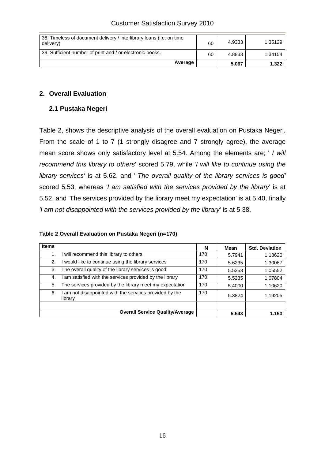| 38. Timeless of document delivery / interlibrary loans (i.e. on time<br>delivery) | 60 | 4.9333 | 1.35129 |
|-----------------------------------------------------------------------------------|----|--------|---------|
| 39. Sufficient number of print and / or electronic books.                         | 60 | 4.8833 | 1.34154 |
| Average                                                                           |    | 5.067  | 1.322   |

## **2. Overall Evaluation**

## **2.1 Pustaka Negeri**

Table 2, shows the descriptive analysis of the overall evaluation on Pustaka Negeri. From the scale of 1 to 7 (1 strongly disagree and 7 strongly agree), the average mean score shows only satisfactory level at 5.54. Among the elements are; ' *I will recommend this library to others*' scored 5.79, while '*I will like to continue using the library services'* is at 5.62, and ' *The overall quality of the library services is good'*  scored 5.53, whereas *'I am satisfied with the services provided by the library*' is at 5.52, and 'The services provided by the library meet my expectation' is at 5.40, finally *'I am not disappointed with the services provided by the library*' is at 5.38.

## **Table 2 Overall Evaluation on Pustaka Negeri (n=170)**

| <b>Items</b> |                                                                  | N   | Mean   | <b>Std. Deviation</b> |
|--------------|------------------------------------------------------------------|-----|--------|-----------------------|
| 1.           | I will recommend this library to others                          | 170 | 5.7941 | 1.18620               |
| 2.           | would like to continue using the library services                | 170 | 5.6235 | 1.30067               |
| 3.           | The overall quality of the library services is good              | 170 | 5.5353 | 1.05552               |
| 4.           | am satisfied with the services provided by the library           | 170 | 5.5235 | 1.07804               |
| 5.           | The services provided by the library meet my expectation         | 170 | 5.4000 | 1.10620               |
| 6.           | am not disappointed with the services provided by the<br>library | 170 | 5.3824 | 1.19205               |
|              |                                                                  |     |        |                       |
|              | <b>Overall Service Quality/Average</b>                           |     | 5.543  | 1.153                 |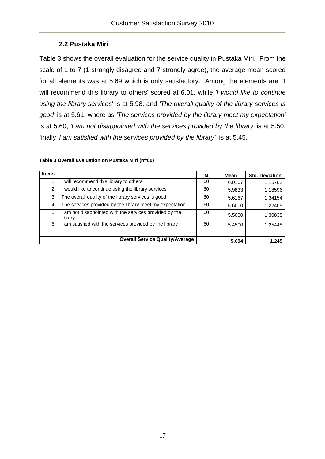## **2.2 Pustaka Miri**

Table 3 shows the overall evaluation for the service quality in Pustaka Miri. From the scale of 1 to 7 (1 strongly disagree and 7 strongly agree), the average mean scored for all elements was at 5.69 which is only satisfactory. Among the elements are: 'I will recommend this library to others' scored at 6.01, while *'I would like to continue using the library services*' is at 5.98, and *'The overall quality of the library services is good'* is at 5.61, where as *'The services provided by the library meet my expectation'*  is at 5.60, *'I am not disappointed with the services provided by the library*' is at 5.50, finally *'I am satisfied with the services provided by the library'* is at 5.45.

| <b>Items</b> |                                                                  | N  | Mean   | <b>Std. Deviation</b> |
|--------------|------------------------------------------------------------------|----|--------|-----------------------|
|              | will recommend this library to others                            | 60 | 6.0167 | 1.15702               |
| 2.           | would like to continue using the library services                | 60 | 5.9833 | 1.18596               |
| 3.           | The overall quality of the library services is good              | 60 | 5.6167 | 1.34154               |
| 4.           | The services provided by the library meet my expectation         | 60 | 5.6000 | 1.22405               |
| 5.           | am not disappointed with the services provided by the<br>library | 60 | 5.5000 | 1.30838               |
| 6.           | am satisfied with the services provided by the library           | 60 | 5.4500 | 1.25448               |
|              |                                                                  |    |        |                       |
|              | <b>Overall Service Quality/Average</b>                           |    | 5.694  | 1.245                 |

#### **Table 3 Overall Evaluation on Pustaka Miri (n=60)**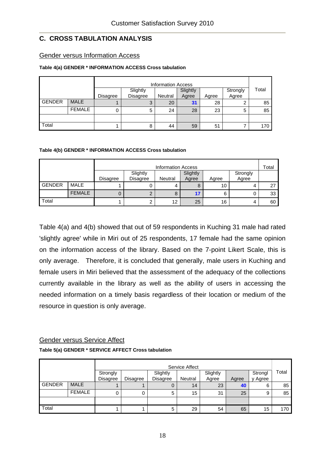## **C. CROSS TABULATION ANALYSIS**

#### Gender versus Information Access

#### **Table 4(a) GENDER \* INFORMATION ACCESS Cross tabulation**

|               |               |          |          | <b>Information Access</b> |          |       |          |       |
|---------------|---------------|----------|----------|---------------------------|----------|-------|----------|-------|
|               |               |          | Slightly |                           | Slightly |       | Strongly | Total |
|               |               | Disagree | Disagree | Neutral                   | Agree    | Agree | Agree    |       |
| <b>GENDER</b> | <b>MALE</b>   |          | 3        | 20                        | 31       | 28    | 2        | 85    |
|               | <b>FEMALE</b> | 0        | 5        | 24                        | 28       | 23    | 5        | 85    |
|               |               |          |          |                           |          |       |          |       |
| Total         |               |          | 8        | 44                        | 59       | 51    |          | 170   |

#### **Table 4(b) GENDER \* INFORMATION ACCESS Cross tabulation**

|                                                                                                | <b>Information Access</b> |  |  |    |    |    |  | Total |
|------------------------------------------------------------------------------------------------|---------------------------|--|--|----|----|----|--|-------|
| Slightly<br>Slightly<br>Strongly<br>Agree<br>Disagree<br>Disagree<br>Neutral<br>Agree<br>Agree |                           |  |  |    |    |    |  |       |
| <b>GENDER</b>                                                                                  | <b>MALE</b>               |  |  |    | 8  | 10 |  | 27    |
|                                                                                                | <b>FEMALE</b>             |  |  | 8  | 17 | 6  |  | 33    |
| Total                                                                                          |                           |  |  | 12 | 25 | 16 |  | 60    |

Table 4(a) and 4(b) showed that out of 59 respondents in Kuching 31 male had rated 'slightly agree' while in Miri out of 25 respondents, 17 female had the same opinion on the information access of the library. Based on the 7-point Likert Scale, this is only average. Therefore, it is concluded that generally, male users in Kuching and female users in Miri believed that the assessment of the adequacy of the collections currently available in the library as well as the ability of users in accessing the needed information on a timely basis regardless of their location or medium of the resource in question is only average.

## Gender versus Service Affect

#### **Table 5(a) GENDER \* SERVICE AFFECT Cross tabulation**

|               | Service Affect |                 |                 |          |         |          |       |         |       |
|---------------|----------------|-----------------|-----------------|----------|---------|----------|-------|---------|-------|
|               |                | Strongly        |                 | Slightly |         | Slightly |       | Strongl | Total |
|               |                | <b>Disagree</b> | <b>Disagree</b> | Disagree | Neutral | Agree    | Agree | y Agree |       |
| <b>GENDER</b> | <b>MALE</b>    |                 |                 |          | 14      | 23       | 40    | 6       | 85    |
|               | <b>FEMALE</b>  | 0               |                 | 5        | 15      | 31       | 25    | 9       | 85    |
|               |                |                 |                 |          |         |          |       |         |       |
| Total         |                |                 |                 | 5        | 29      | 54       | 65    | 15      | 170   |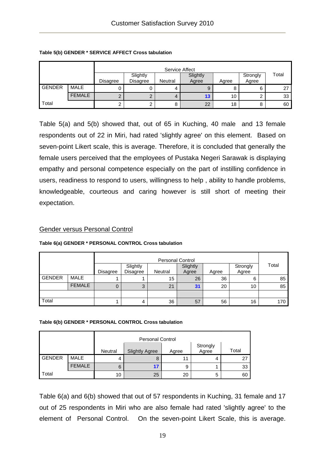|               |               |          |                             | Service Affect |                   |       |                   |       |
|---------------|---------------|----------|-----------------------------|----------------|-------------------|-------|-------------------|-------|
|               |               | Disagree | Slightly<br><b>Disagree</b> | Neutral        | Slightly<br>Agree | Agree | Strongly<br>Agree | Total |
| <b>GENDER</b> | <b>MALE</b>   |          |                             | 4              | 9                 | o     | 6                 | 27    |
|               | <b>FEMALE</b> | ⌒<br>৴   |                             | 4              | 13                | 10    |                   | 33    |
| Total         |               | ົ        | ⌒                           | 8              | 22                | 18    | 8                 | 60    |

#### **Table 5(b) GENDER \* SERVICE AFFECT Cross tabulation**

Table 5(a) and 5(b) showed that, out of 65 in Kuching, 40 male and 13 female respondents out of 22 in Miri, had rated 'slightly agree' on this element. Based on seven-point Likert scale, this is average. Therefore, it is concluded that generally the female users perceived that the employees of Pustaka Negeri Sarawak is displaying empathy and personal competence especially on the part of instilling confidence in users, readiness to respond to users, willingness to help , ability to handle problems, knowledgeable, courteous and caring however is still short of meeting their expectation.

#### Gender versus Personal Control

#### **Table 6(a) GENDER \* PERSONAL CONTROL Cross tabulation**

|                                                                                                                     |               |   | <b>Personal Control</b> |    |    |    |       |     |  |  |
|---------------------------------------------------------------------------------------------------------------------|---------------|---|-------------------------|----|----|----|-------|-----|--|--|
| Slightly<br>Slightly<br>Strongly<br><b>Disagree</b><br>Agree<br><b>Disagree</b><br><b>Neutral</b><br>Agree<br>Agree |               |   |                         |    |    |    | Total |     |  |  |
| <b>GENDER</b>                                                                                                       | <b>MALE</b>   |   |                         | 15 | 26 | 36 | 6     | 85  |  |  |
|                                                                                                                     | <b>FEMALE</b> | U | ◠<br>ت                  | 21 | 31 | 20 | 10    | 85  |  |  |
|                                                                                                                     |               |   |                         |    |    |    |       |     |  |  |
| Total                                                                                                               |               |   | 4                       | 36 | 57 | 56 | 16    | 170 |  |  |

#### **Table 6(b) GENDER \* PERSONAL CONTROL Cross tabulation**

| Strongly<br>Agree<br><b>Slightly Agree</b><br>Neutral<br>Agree |               |    |    |    |   | Total |
|----------------------------------------------------------------|---------------|----|----|----|---|-------|
| <b>GENDER</b>                                                  | <b>MALE</b>   |    | ö  | 11 |   | 27    |
|                                                                | <b>FEMALE</b> | 6  |    | 9  |   | 33    |
| Total                                                          |               | 10 | 25 | 20 | 5 | 60    |

Table 6(a) and 6(b) showed that out of 57 respondents in Kuching, 31 female and 17 out of 25 respondents in Miri who are also female had rated 'slightly agree' to the element of Personal Control. On the seven-point Likert Scale, this is average.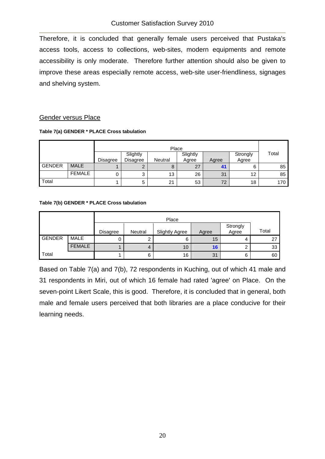Therefore, it is concluded that generally female users perceived that Pustaka's access tools, access to collections, web-sites, modern equipments and remote accessibility is only moderate. Therefore further attention should also be given to improve these areas especially remote access, web-site user-friendliness, signages and shelving system.

#### Gender versus Place

|               |               |          |                      | Place          |                   |       |                   |       |
|---------------|---------------|----------|----------------------|----------------|-------------------|-------|-------------------|-------|
|               |               | Disagree | Slightly<br>Disagree | <b>Neutral</b> | Slightly<br>Agree | Agree | Strongly<br>Agree | Total |
| <b>GENDER</b> | <b>MALE</b>   |          | ◠                    | 8              | 27                |       | 6                 | 85    |
|               | <b>FEMALE</b> |          | ບ                    | 13             | 26                | 31    | 12                | 85    |
| Total         |               |          | 5                    | 21             | 53                | 72    | 18                | 170   |

#### **Table 7(b) GENDER \* PLACE Cross tabulation**

|               |               |                 |         | Place                 |       |                   |       |
|---------------|---------------|-----------------|---------|-----------------------|-------|-------------------|-------|
|               |               | <b>Disagree</b> | Neutral | <b>Slightly Agree</b> | Agree | Strongly<br>Agree | Total |
| <b>GENDER</b> | <b>MALE</b>   |                 | ົ       | 6                     | 15    |                   | 27    |
|               | <b>FEMALE</b> |                 | 4       | 10                    | 16    | ⌒                 | 33    |
| Total         |               |                 | 6       | 16                    | 31    | 6                 | 60    |

Based on Table 7(a) and 7(b), 72 respondents in Kuching, out of which 41 male and 31 respondents in Miri, out of which 16 female had rated 'agree' on Place. On the seven-point Likert Scale, this is good. Therefore, it is concluded that in general, both male and female users perceived that both libraries are a place conducive for their learning needs.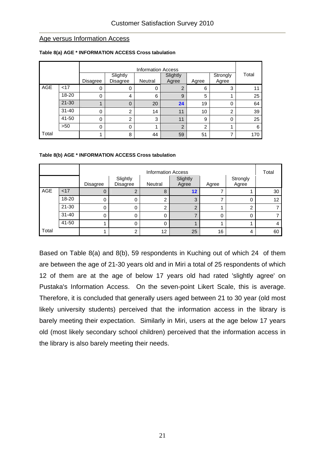#### Age versus Information Access

|            |           |              |                             | <b>Information Access</b> |                   |                |                   |       |
|------------|-----------|--------------|-----------------------------|---------------------------|-------------------|----------------|-------------------|-------|
|            |           | Disagree     | Slightly<br><b>Disagree</b> | Neutral                   | Slightly<br>Agree | Agree          | Strongly<br>Agree | Total |
| <b>AGE</b> | < 17      | 0            | 0                           | 0                         | $\overline{2}$    | 6              | 3                 | 11    |
|            | 18-20     | 0            | 4                           | 6                         | 9                 | 5              |                   | 25    |
|            | $21 - 30$ |              | $\overline{0}$              | 20                        | 24                | 19             | $\Omega$          | 64    |
|            | $31 - 40$ | 0            | $\overline{2}$              | 14                        | 11                | 10             | $\overline{2}$    | 39    |
|            | 41-50     | $\mathbf{0}$ | $\overline{2}$              | 3                         | 11                | 9              | $\Omega$          | 25    |
|            | >50       | 0            | 0                           |                           | $\overline{2}$    | $\overline{2}$ |                   | 6     |
| Total      |           |              | 8                           | 44                        | 59                | 51             | 7                 | 170   |

#### **Table 8(a) AGE \* INFORMATION ACCESS Cross tabulation**

#### **Table 8(b) AGE \* INFORMATION ACCESS Cross tabulation**

|       |                                                                                                |   | <b>Information Access</b> |              |                |          |    |    |  |  |  |
|-------|------------------------------------------------------------------------------------------------|---|---------------------------|--------------|----------------|----------|----|----|--|--|--|
|       | Slightly<br>Slightly<br>Strongly<br>Agree<br>Disagree<br>Neutral<br>Agree<br>Disagree<br>Agree |   |                           |              |                |          |    |    |  |  |  |
| AGE   | < 17                                                                                           | 0 | 2                         | 8            | 12             |          |    | 30 |  |  |  |
|       | 18-20                                                                                          | 0 | 0                         | ⌒            | 3              |          | 0  | 12 |  |  |  |
|       | 21-30                                                                                          | 0 | 0                         |              | $\overline{2}$ |          | ົ  |    |  |  |  |
|       | $31 - 40$                                                                                      | 0 | 0                         | $\mathbf{0}$ |                | $\Omega$ |    |    |  |  |  |
|       | 41-50                                                                                          |   | 0                         |              |                |          |    | 4  |  |  |  |
| Total | 12<br>25<br>16<br>$\overline{2}$                                                               |   |                           |              |                | 4        | 60 |    |  |  |  |

Based on Table 8(a) and 8(b), 59 respondents in Kuching out of which 24 of them are between the age of 21-30 years old and in Miri a total of 25 respondents of which 12 of them are at the age of below 17 years old had rated 'slightly agree' on Pustaka's Information Access. On the seven-point Likert Scale, this is average. Therefore, it is concluded that generally users aged between 21 to 30 year (old most likely university students) perceived that the information access in the library is barely meeting their expectation. Similarly in Miri, users at the age below 17 years old (most likely secondary school children) perceived that the information access in the library is also barely meeting their needs.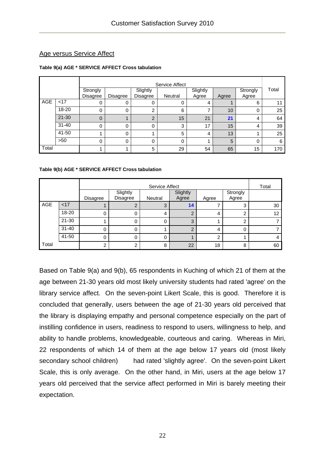## Age versus Service Affect

#### **Table 9(a) AGE \* SERVICE AFFECT Cross tabulation**

|       |                                                                                                                               |          | Service Affect |               |    |    |       |    |     |  |  |
|-------|-------------------------------------------------------------------------------------------------------------------------------|----------|----------------|---------------|----|----|-------|----|-----|--|--|
|       | Slightly<br>Slightly<br>Strongly<br>Strongly<br><b>Disagree</b><br>Agree<br>Disagree<br>Disagree<br>Neutral<br>Agree<br>Agree |          |                |               |    |    | Total |    |     |  |  |
| AGE   | <17                                                                                                                           | 0        |                | 0             |    | 4  |       | 6  | 11  |  |  |
|       | 18-20                                                                                                                         | 0        |                | 2             | 6  |    | 10    | 0  | 25  |  |  |
|       | $21 - 30$                                                                                                                     | $\Omega$ |                | $\mathcal{P}$ | 15 | 21 | 21    | 4  | 64  |  |  |
|       | $31 - 40$                                                                                                                     | $\Omega$ |                | 0             | 3  | 17 | 15    | 4  | 39  |  |  |
|       | 41-50                                                                                                                         |          |                |               | 5  | 4  | 13    |    | 25  |  |  |
|       | >50                                                                                                                           | $\Omega$ |                | 0             | 0  |    | 5     | 0  | 6   |  |  |
| Total |                                                                                                                               |          |                | 5             | 29 | 54 | 65    | 15 | 170 |  |  |

#### **Table 9(b) AGE \* SERVICE AFFECT Cross tabulation**

|                                       |                                                                                                |   | Service Affect |   |               |   |          |    |  |  |  |
|---------------------------------------|------------------------------------------------------------------------------------------------|---|----------------|---|---------------|---|----------|----|--|--|--|
|                                       | Slightly<br>Slightly<br>Strongly<br>Agree<br>Disagree<br>Agree<br>Neutral<br>Disagree<br>Agree |   |                |   |               |   |          |    |  |  |  |
| <b>AGE</b>                            | < 17                                                                                           |   |                | 3 | 14            |   | 3        | 30 |  |  |  |
|                                       | 18-20                                                                                          | 0 | $\Omega$       | 4 | ົ             | 4 | ົ        | 12 |  |  |  |
|                                       | $21 - 30$                                                                                      |   | 0              |   | 3             |   | າ        |    |  |  |  |
|                                       | $31 - 40$                                                                                      | 0 | 0              |   | $\mathcal{P}$ | 4 | $\Omega$ |    |  |  |  |
|                                       | 41-50                                                                                          | 0 | 0              |   |               | റ |          | 4  |  |  |  |
| Total<br>22<br>18<br>8<br>⌒<br>2<br>8 |                                                                                                |   |                |   |               |   | 60       |    |  |  |  |

Based on Table 9(a) and 9(b), 65 respondents in Kuching of which 21 of them at the age between 21-30 years old most likely university students had rated 'agree' on the library service affect. On the seven-point Likert Scale, this is good. Therefore it is concluded that generally, users between the age of 21-30 years old perceived that the library is displaying empathy and personal competence especially on the part of instilling confidence in users, readiness to respond to users, willingness to help, and ability to handle problems, knowledgeable, courteous and caring. Whereas in Miri, 22 respondents of which 14 of them at the age below 17 years old (most likely secondary school children) had rated 'slightly agree'. On the seven-point Likert Scale, this is only average. On the other hand, in Miri, users at the age below 17 years old perceived that the service affect performed in Miri is barely meeting their expectation.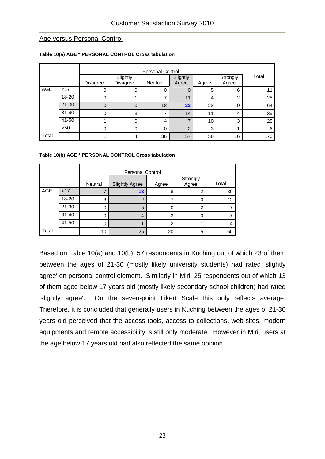#### Age versus Personal Control

|       |           | Disagree | Slightly<br>Slightly<br>Disagree<br>Neutral<br>Agree<br>Agree |    | Strongly<br>Agree | Total |    |     |
|-------|-----------|----------|---------------------------------------------------------------|----|-------------------|-------|----|-----|
| AGE   | <17       | 0        | 0                                                             | 0  | 0                 | 5     | 6  | 11  |
|       | 18-20     | 0        |                                                               | ⇁  | 11                | 4     | ົ  | 25  |
|       | $21 - 30$ | $\Omega$ | 0                                                             | 18 | 23                | 23    | 0  | 64  |
|       | $31 - 40$ | $\Omega$ | 3                                                             | 7  | 14                | 11    | 4  | 39  |
|       | 41-50     |          | 0                                                             | 4  |                   | 10    | 3  | 25  |
|       | >50       | $\Omega$ | 0                                                             | 0  | $\overline{2}$    | 3     |    | 6   |
| Total |           |          | 4                                                             | 36 | 57                | 56    | 16 | 170 |

#### **Table 10(a) AGE \* PERSONAL CONTROL Cross tabulation**

#### **Table 10(b) AGE \* PERSONAL CONTROL Cross tabulation**

|       |           | Neutral | <b>Slightly Agree</b> | Agree | Strongly<br>Agree | Total |
|-------|-----------|---------|-----------------------|-------|-------------------|-------|
| AGE   | < 17      |         | 13                    | 8     | 2                 | 30    |
|       | 18-20     | 3       | $\overline{2}$        |       | 0                 | 12    |
|       | $21 - 30$ | 0       | 5                     | 0     | $\overline{2}$    | 7     |
|       | $31 - 40$ | 0       | $\overline{4}$        | 3     | 0                 |       |
|       | 41-50     | 0       |                       | 2     |                   | 4     |
| Total |           | 10      | 25                    | 20    | 5                 | 60    |

Based on Table 10(a) and 10(b), 57 respondents in Kuching out of which 23 of them between the ages of 21-30 (mostly likely university students) had rated 'slightly agree' on personal control element. Similarly in Miri, 25 respondents out of which 13 of them aged below 17 years old (mostly likely secondary school children) had rated 'slightly agree'. On the seven-point Likert Scale this only reflects average. Therefore, it is concluded that generally users in Kuching between the ages of 21-30 years old perceived that the access tools, access to collections, web-sites, modern equipments and remote accessibility is still only moderate. However in Miri, users at the age below 17 years old had also reflected the same opinion.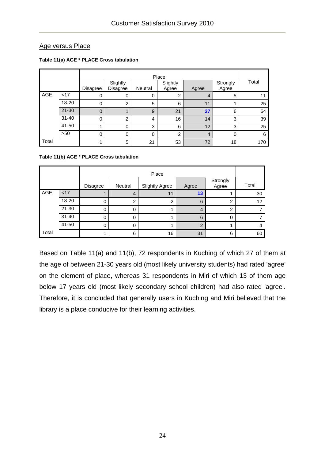## Age versus Place

|       |                                                             |                |                             |         | Place             |       |                   |       |  |  |
|-------|-------------------------------------------------------------|----------------|-----------------------------|---------|-------------------|-------|-------------------|-------|--|--|
|       |                                                             | Disagree       | Slightly<br><b>Disagree</b> | Neutral | Slightly<br>Agree | Agree | Strongly<br>Agree | Total |  |  |
| AGE   | < 17                                                        | 0              | 0                           | O       |                   | 4     | 5                 | 11    |  |  |
|       | 18-20                                                       | 0              | 2                           | 5       | 6                 | 11    |                   | 25    |  |  |
|       | $21 - 30$                                                   | $\overline{0}$ |                             | 9       | 21                | 27    | 6                 | 64    |  |  |
|       | $31 - 40$                                                   | 0              | 2                           | 4       | 16                | 14    | 3                 | 39    |  |  |
|       | 41-50                                                       |                | $\Omega$                    | 3       | 6                 | 12    | 3                 | 25    |  |  |
|       | >50<br>0<br>$\overline{2}$<br>0<br>0<br>$\overline{4}$<br>0 |                |                             |         |                   |       |                   |       |  |  |
| Total |                                                             |                | 5                           | 21      | 53                | 72    | 18                | 170   |  |  |

#### **Table 11(a) AGE \* PLACE Cross tabulation**

#### **Table 11(b) AGE \* PLACE Cross tabulation**

|       |           |          |                | Place                 |                |                   |       |
|-------|-----------|----------|----------------|-----------------------|----------------|-------------------|-------|
|       |           | Disagree | Neutral        | <b>Slightly Agree</b> | Agree          | Strongly<br>Agree | Total |
| AGE   | < 17      |          | $\overline{4}$ | 11                    | 13             |                   | 30    |
|       | 18-20     | 0        | ົ              | 2                     | 6              | ⌒                 | 12    |
|       | $21 - 30$ | 0        | 0              |                       | $\overline{4}$ | ⌒                 |       |
|       | $31 - 40$ | 0        |                |                       | 6              | 0                 |       |
|       | 41-50     | 0        |                |                       | າ              |                   | 4     |
| Total |           |          | 6              | 16                    | 31             | 6                 | 60    |

Based on Table 11(a) and 11(b), 72 respondents in Kuching of which 27 of them at the age of between 21-30 years old (most likely university students) had rated 'agree' on the element of place, whereas 31 respondents in Miri of which 13 of them age below 17 years old (most likely secondary school children) had also rated 'agree'. Therefore, it is concluded that generally users in Kuching and Miri believed that the library is a place conducive for their learning activities.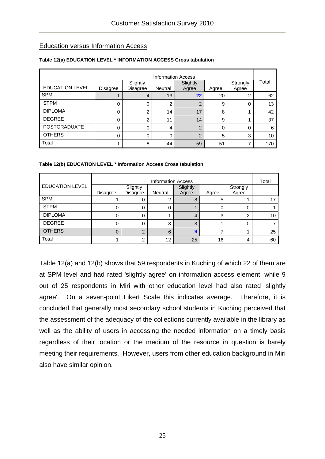## Education versus Information Access

|                        |                 |                                                                                           | <b>Information Access</b> |                |    |   | Total |  |
|------------------------|-----------------|-------------------------------------------------------------------------------------------|---------------------------|----------------|----|---|-------|--|
| <b>EDUCATION LEVEL</b> | <b>Disagree</b> | Slightly<br>Slightly<br>Strongly<br><b>Disagree</b><br>Neutral<br>Agree<br>Agree<br>Agree |                           |                |    |   |       |  |
| <b>SPM</b>             |                 | 4                                                                                         | 13                        | 22             | 20 | 2 | 62    |  |
| <b>STPM</b>            | 0               | 0                                                                                         | 2                         | $\overline{2}$ | 9  | 0 | 13    |  |
| <b>DIPLOMA</b>         | 0               | $\overline{2}$                                                                            | 14                        | 17             | 8  |   | 42    |  |
| <b>DEGREE</b>          | 0               | $\overline{2}$                                                                            | 11                        | 14             | 9  |   | 37    |  |
| POSTGRADUATE           | 0               | 0                                                                                         | 4                         | 2              | 0  | 0 | 6     |  |
| <b>OTHERS</b>          | 0               | 0                                                                                         | 0                         | $\overline{2}$ | 5  | 3 | 10    |  |
| Total                  |                 | 8                                                                                         | 44                        | 59             | 51 | 7 | 170   |  |

#### **Table 12(a) EDUCATION LEVEL \* INFORMATION ACCESS Cross tabulation**

#### **Table 12(b) EDUCATION LEVEL \* Information Access Cross tabulation**

|                        | <b>Information Access</b> |                 |         |          |       |          |    |  |
|------------------------|---------------------------|-----------------|---------|----------|-------|----------|----|--|
| <b>EDUCATION LEVEL</b> |                           | Slightly        |         | Slightly |       | Strongly |    |  |
|                        | Disagree                  | <b>Disagree</b> | Neutral | Agree    | Agree | Agree    |    |  |
| <b>SPM</b>             |                           | 0               |         | 8        | 5     |          |    |  |
| <b>STPM</b>            |                           | 0               |         |          | Ω     |          |    |  |
| <b>DIPLOMA</b>         |                           | 0               |         | 4        | 3     | ົ        | 10 |  |
| <b>DEGREE</b>          | 0                         | 0               | 3       | 3        |       | 0        |    |  |
| <b>OTHERS</b>          | 0                         | $\overline{2}$  | 6       | 9        |       |          | 25 |  |
| Total                  |                           | $\overline{2}$  | 12      | 25       | 16    | 4        | 60 |  |

Table 12(a) and 12(b) shows that 59 respondents in Kuching of which 22 of them are at SPM level and had rated 'slightly agree' on information access element, while 9 out of 25 respondents in Miri with other education level had also rated 'slightly agree'. On a seven-point Likert Scale this indicates average. Therefore, it is concluded that generally most secondary school students in Kuching perceived that the assessment of the adequacy of the collections currently available in the library as well as the ability of users in accessing the needed information on a timely basis regardless of their location or the medium of the resource in question is barely meeting their requirements. However, users from other education background in Miri also have similar opinion.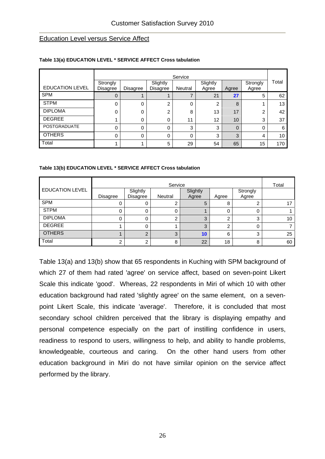#### Education Level versus Service Affect

|                        |                      | Service  |                      |          |                   |             |                   |                 |  |  |  |  |  |
|------------------------|----------------------|----------|----------------------|----------|-------------------|-------------|-------------------|-----------------|--|--|--|--|--|
| <b>EDUCATION LEVEL</b> | Strongly<br>Disagree | Disagree | Slightly<br>Disagree | Neutral  | Slightly<br>Agree | Agree       | Strongly<br>Agree | Total           |  |  |  |  |  |
| <b>SPM</b>             | 0                    |          |                      |          | 21                | 27          | 5                 | 62              |  |  |  |  |  |
| <b>STPM</b>            | 0                    | 0        | 2                    | 0        | 2                 | 8           |                   | 13              |  |  |  |  |  |
| <b>DIPLOMA</b>         | 0                    | 0        | 2                    | 8        | 13                | 17          | 2                 | 42              |  |  |  |  |  |
| <b>DEGREE</b>          |                      | 0        | 0                    | 11       | 12                | 10          | 3                 | 37              |  |  |  |  |  |
| <b>POSTGRADUATE</b>    | $\Omega$             | 0        | 0                    | 3        | 3                 | $\mathbf 0$ | 0                 | 6               |  |  |  |  |  |
| <b>OTHERS</b>          | $\Omega$             | 0        | 0                    | $\Omega$ | 3                 | 3           | 4                 | 10 <sup>°</sup> |  |  |  |  |  |
| Total                  |                      |          | 5                    | 29       | 54                | 65          | 15                | 170             |  |  |  |  |  |

#### **Table 13(a) EDUCATION LEVEL \* SERVICE AFFECT Cross tabulation**

#### **Table 13(b) EDUCATION LEVEL \* SERVICE AFFECT Cross tabulation**

|                        |          | Total                |         |            |       |                   |    |
|------------------------|----------|----------------------|---------|------------|-------|-------------------|----|
| <b>EDUCATION LEVEL</b> | Disagree | Slightly<br>Disagree | Neutral | Slightly   | Agree | Strongly<br>Agree |    |
| <b>SPM</b>             |          |                      |         | Agree<br>5 | 8     |                   |    |
| <b>STPM</b>            |          |                      | 0       |            |       |                   |    |
| <b>DIPLOMA</b>         |          |                      | ◠       | 3          | ◠     | 3                 | 10 |
| <b>DEGREE</b>          |          |                      |         | 3          | ົ     | 0                 |    |
| <b>OTHERS</b>          |          |                      | 3       | 10         | 6     | 3                 | 25 |
| Total                  |          |                      | 8       | 22         | 18    | 8                 | 60 |

Table 13(a) and 13(b) show that 65 respondents in Kuching with SPM background of which 27 of them had rated 'agree' on service affect, based on seven-point Likert Scale this indicate 'good'. Whereas, 22 respondents in Miri of which 10 with other education background had rated 'slightly agree' on the same element, on a sevenpoint Likert Scale, this indicate 'average'. Therefore, it is concluded that most secondary school children perceived that the library is displaying empathy and personal competence especially on the part of instilling confidence in users, readiness to respond to users, willingness to help, and ability to handle problems, knowledgeable, courteous and caring. On the other hand users from other education background in Miri do not have similar opinion on the service affect performed by the library.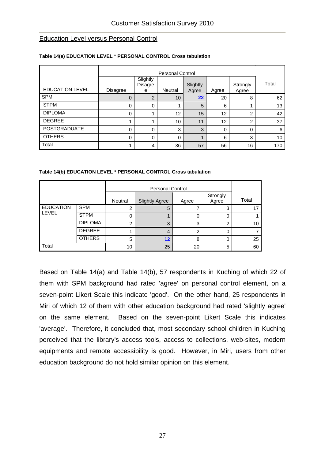#### Education Level versus Personal Control

|                        |             |                          | <b>Personal Control</b> |                   |       |                   |       |
|------------------------|-------------|--------------------------|-------------------------|-------------------|-------|-------------------|-------|
| <b>EDUCATION LEVEL</b> | Disagree    | Slightly<br>Disagre<br>e | Neutral                 | Slightly<br>Agree | Agree | Strongly<br>Agree | Total |
| <b>SPM</b>             | $\mathbf 0$ | 2                        | 10                      | 22                | 20    | 8                 | 62    |
| <b>STPM</b>            | 0           | 0                        |                         | 5                 | 6     |                   | 13    |
| <b>DIPLOMA</b>         | 0           |                          | 12                      | 15                | 12    | 2                 | 42    |
| <b>DEGREE</b>          |             |                          | 10                      | 11                | 12    | 2                 | 37    |
| <b>POSTGRADUATE</b>    | $\Omega$    | 0                        | 3                       | 3                 | 0     | 0                 | 6     |
| <b>OTHERS</b>          | $\Omega$    | $\Omega$                 | $\Omega$                |                   | 6     | 3                 | 10    |
| Total                  |             | 4                        | 36                      | 57                | 56    | 16                | 170   |

#### **Table 14(a) EDUCATION LEVEL \* PERSONAL CONTROL Cross tabulation**

#### **Table 14(b) EDUCATION LEVEL \* PERSONAL CONTROL Cross tabulation**

|                  |                | Neutral       | <b>Slightly Agree</b> | Agree | Strongly<br>Agree | Total |
|------------------|----------------|---------------|-----------------------|-------|-------------------|-------|
| <b>EDUCATION</b> | <b>SPM</b>     |               | 5                     |       | 3                 |       |
| LEVEL            | <b>STPM</b>    |               |                       | 0     | 0                 |       |
|                  | <b>DIPLOMA</b> | $\mathcal{P}$ | 3                     | 3     | 2                 | 10    |
|                  | <b>DEGREE</b>  |               | 4                     | ົ     | 0                 |       |
|                  | <b>OTHERS</b>  | 5             | 12                    | 8     | 0                 | 25    |
| Total            |                | 10            | 25                    | 20    | 5                 | 60    |

Based on Table 14(a) and Table 14(b), 57 respondents in Kuching of which 22 of them with SPM background had rated 'agree' on personal control element, on a seven-point Likert Scale this indicate 'good'. On the other hand, 25 respondents in Miri of which 12 of them with other education background had rated 'slightly agree' on the same element. Based on the seven-point Likert Scale this indicates 'average'. Therefore, it concluded that, most secondary school children in Kuching perceived that the library's access tools, access to collections, web-sites, modern equipments and remote accessibility is good. However, in Miri, users from other education background do not hold similar opinion on this element.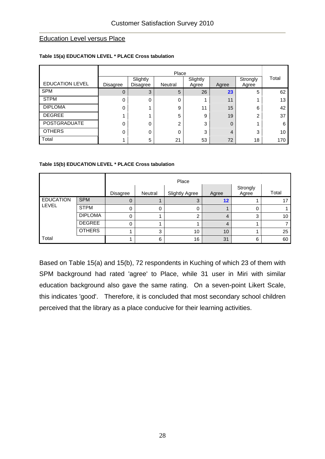#### Education Level versus Place

#### Place EDUCATION LEVEL | Disagree Slightly Disagree Neutral **Slightly** Agree **Agree Strongly** Agree Total SPM 0 3 5 26 23 5 62 STPM 0 0 0 1 11 1 13  $DIPLOMA$  0 1 9 11 15 6 42 DEGREE 1 1 1 5 9 19 2 37 POSTGRADUATE 0 0 0 2 3 0 1 6 OTHERS 0 0 0 3 4 3 10 Total 1 5 21 53 72 18 170

#### **Table 15(a) EDUCATION LEVEL \* PLACE Cross tabulation**

#### **Table 15(b) EDUCATION LEVEL \* PLACE Cross tabulation**

|                  |                |          | Place   |                       |                   |                   |       |  |  |  |
|------------------|----------------|----------|---------|-----------------------|-------------------|-------------------|-------|--|--|--|
|                  |                | Disagree | Neutral | <b>Slightly Agree</b> | Agree             | Strongly<br>Agree | Total |  |  |  |
| <b>EDUCATION</b> | <b>SPM</b>     | 0        |         | ◠                     | $12 \overline{ }$ |                   |       |  |  |  |
| LEVEL            | <b>STPM</b>    | 0        | 0       | 0                     |                   |                   |       |  |  |  |
|                  | <b>DIPLOMA</b> | 0        |         | ⌒                     | 4                 | ◠                 | 10    |  |  |  |
|                  | <b>DEGREE</b>  | 0        |         |                       | 4                 |                   |       |  |  |  |
|                  | <b>OTHERS</b>  |          | 3       | 10                    | 10 <sup>1</sup>   |                   | 25    |  |  |  |
| Total            |                |          | 6       | 16                    | 31                | 6                 | 60    |  |  |  |

Based on Table 15(a) and 15(b), 72 respondents in Kuching of which 23 of them with SPM background had rated 'agree' to Place, while 31 user in Miri with similar education background also gave the same rating. On a seven-point Likert Scale, this indicates 'good'. Therefore, it is concluded that most secondary school children perceived that the library as a place conducive for their learning activities.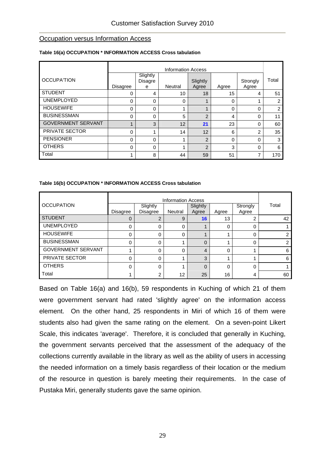#### **Occupation versus Information Access**

|                           |          | <b>Information Access</b>       |         |                   |          |                   |       |  |  |  |  |
|---------------------------|----------|---------------------------------|---------|-------------------|----------|-------------------|-------|--|--|--|--|
| <b>OCCUPATION</b>         | Disagree | Slightly<br><b>Disagre</b><br>е | Neutral | Slightly<br>Agree | Agree    | Strongly<br>Agree | Total |  |  |  |  |
| <b>STUDENT</b>            | 0        | 4                               | 10      | 18                | 15       | 4                 | 51    |  |  |  |  |
| <b>UNEMPLOYED</b>         | 0        | $\Omega$                        | 0       |                   | 0        |                   | 2     |  |  |  |  |
| <b>HOUSEWIFE</b>          | 0        | $\Omega$                        |         |                   | 0        | $\Omega$          | 2     |  |  |  |  |
| <b>BUSINESSMAN</b>        | 0        | 0                               | 5       | $\mathfrak{p}$    | 4        | 0                 | 11    |  |  |  |  |
| <b>GOVERNMENT SERVANT</b> | 1        | 3                               | 12      | 21                | 23       | 0                 | 60    |  |  |  |  |
| <b>PRIVATE SECTOR</b>     | 0        |                                 | 14      | 12                | 6        | 2                 | 35    |  |  |  |  |
| <b>PENSIONER</b>          | $\Omega$ | $\Omega$                        | и       | $\overline{2}$    | $\Omega$ | 0                 | 3     |  |  |  |  |
| <b>OTHERS</b>             | $\Omega$ | $\Omega$                        |         | $\mathfrak{p}$    | 3        | $\Omega$          | 6     |  |  |  |  |
| Total                     |          | 8                               | 44      | 59                | 51       | ⇁                 | 170   |  |  |  |  |

#### **Table 16(a) OCCUPATION \* INFORMATION ACCESS Cross tabulation**

#### **Table 16(b) OCCUPATION \* INFORMATION ACCESS Cross tabulation**

|                           |          | <b>Information Access</b> |                |                   |       |                   |       |  |  |  |
|---------------------------|----------|---------------------------|----------------|-------------------|-------|-------------------|-------|--|--|--|
| <b>OCCUPATION</b>         | Disagree | Slightly<br>Disagree      | <b>Neutral</b> | Slightly<br>Agree | Agree | Strongly<br>Agree | Total |  |  |  |
| <b>STUDENT</b>            | 0        |                           | 9              | 16                | 13    |                   | 42    |  |  |  |
|                           |          |                           |                |                   |       |                   |       |  |  |  |
| <b>UNEMPLOYED</b>         | 0        | $\Omega$                  | 0              |                   | 0     | $\Omega$          |       |  |  |  |
| <b>HOUSEWIFE</b>          | 0        | 0                         | 0              |                   |       |                   |       |  |  |  |
| <b>BUSINESSMAN</b>        | ი        | 0                         |                | $\Omega$          |       | $\Omega$          |       |  |  |  |
| <b>GOVERNMENT SERVANT</b> |          | 0                         | 0              | 4                 | 0     |                   | 6     |  |  |  |
| <b>PRIVATE SECTOR</b>     | 0        | $\Omega$                  |                | 3                 | 4     |                   | 6     |  |  |  |
| <b>OTHERS</b>             | 0        | 0                         |                | $\Omega$          | 0     | $\Omega$          |       |  |  |  |
| Total                     |          | 2                         | 12             | 25                | 16    | 4                 | 60    |  |  |  |

Based on Table 16(a) and 16(b), 59 respondents in Kuching of which 21 of them were government servant had rated 'slightly agree' on the information access element. On the other hand, 25 respondents in Miri of which 16 of them were students also had given the same rating on the element. On a seven-point Likert Scale, this indicates 'average'. Therefore, it is concluded that generally in Kuching, the government servants perceived that the assessment of the adequacy of the collections currently available in the library as well as the ability of users in accessing the needed information on a timely basis regardless of their location or the medium of the resource in question is barely meeting their requirements. In the case of Pustaka Miri, generally students gave the same opinion.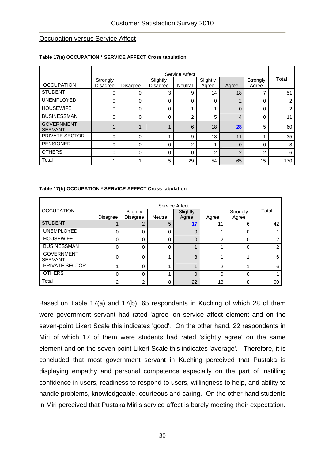#### **Occupation versus Service Affect**

|                                     |                      | Service Affect |                      |                |                   |                |                   |       |  |
|-------------------------------------|----------------------|----------------|----------------------|----------------|-------------------|----------------|-------------------|-------|--|
| <b>OCCUPATION</b>                   | Strongly<br>Disagree | Disagree       | Slightly<br>Disagree | <b>Neutral</b> | Slightly<br>Agree | Agree          | Strongly<br>Agree | Total |  |
| <b>STUDENT</b>                      | 0                    | 0              | 3                    | 9              | 14                | 18             |                   | 51    |  |
| <b>UNEMPLOYED</b>                   | 0                    | 0              | 0                    | $\Omega$       | 0                 | $\overline{2}$ | 0                 | 2     |  |
| <b>HOUSEWIFE</b>                    | 0                    | 0              | 0                    |                |                   | $\Omega$       | 0                 | 2     |  |
| <b>BUSINESSMAN</b>                  | 0                    | 0              | 0                    | 2              | 5                 | 4              | 0                 | 11    |  |
| <b>GOVERNMENT</b><br><b>SERVANT</b> |                      | ◢              | $\overline{ }$       | 6              | 18                | 28             | 5                 | 60    |  |
| PRIVATE SECTOR                      | $\Omega$             | 0              |                      | 9              | 13                | 11             | ◢                 | 35    |  |
| <b>PENSIONER</b>                    | $\Omega$             | 0              | 0                    | $\overline{2}$ |                   | $\Omega$       | $\Omega$          | 3     |  |
| <b>OTHERS</b>                       | $\Omega$             | 0              | 0                    | $\Omega$       | $\overline{2}$    | $\overline{2}$ | $\overline{2}$    | 6     |  |
| Total                               |                      |                | 5                    | 29             | 54                | 65             | 15                | 170   |  |

#### **Table 17(a) OCCUPATION \* SERVICE AFFECT Cross tabulation**

#### **Table 17(b) OCCUPATION \* SERVICE AFFECT Cross tabulation**

| <b>OCCUPATION</b>                   | <b>Disagree</b> | Slightly<br>Disagree | <b>Neutral</b> | Service Affect<br>Slightly<br>Agree | Agree          | Strongly<br>Agree | Total |
|-------------------------------------|-----------------|----------------------|----------------|-------------------------------------|----------------|-------------------|-------|
| <b>STUDENT</b>                      |                 | $\overline{2}$       | 5              | 17                                  | 11             | 6                 | 42    |
| <b>UNEMPLOYED</b>                   | 0               | 0                    | 0              | 0                                   |                | 0                 |       |
| <b>HOUSEWIFE</b>                    | 0               | 0                    | 0              | $\Omega$                            | $\overline{2}$ | 0                 | ⌒     |
| <b>BUSINESSMAN</b>                  | 0               | 0                    | 0              |                                     |                | 0                 | 2     |
| <b>GOVERNMENT</b><br><b>SERVANT</b> | 0               | 0                    |                | 3                                   |                |                   | 6     |
| PRIVATE SECTOR                      |                 | 0                    |                | 4                                   | $\overline{2}$ |                   | 6     |
| <b>OTHERS</b>                       | 0               | 0                    |                | $\overline{0}$                      | $\Omega$       | 0                 |       |
| Total                               | 2               | 2                    | 8              | 22                                  | 18             | 8                 | 60    |

Based on Table 17(a) and 17(b), 65 respondents in Kuching of which 28 of them were government servant had rated 'agree' on service affect element and on the seven-point Likert Scale this indicates 'good'. On the other hand, 22 respondents in Miri of which 17 of them were students had rated 'slightly agree' on the same element and on the seven-point Likert Scale this indicates 'average'. Therefore, it is concluded that most government servant in Kuching perceived that Pustaka is displaying empathy and personal competence especially on the part of instilling confidence in users, readiness to respond to users, willingness to help, and ability to handle problems, knowledgeable, courteous and caring. On the other hand students in Miri perceived that Pustaka Miri's service affect is barely meeting their expectation.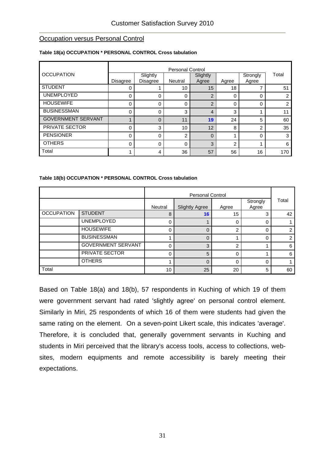#### **Occupation versus Personal Control**

|                           | <b>Personal Control</b> |                      |                |                   |             |                   |                |  |  |
|---------------------------|-------------------------|----------------------|----------------|-------------------|-------------|-------------------|----------------|--|--|
| <b>OCCUPATION</b>         | Disagree                | Slightly<br>Disagree | <b>Neutral</b> | Slightly<br>Agree | Agree       | Strongly<br>Agree | Total          |  |  |
| <b>STUDENT</b>            |                         |                      | 10             | 15                | 18          |                   | 51             |  |  |
| <b>UNEMPLOYED</b>         | 0                       | 0                    | 0              | $\overline{2}$    | 0           | 0                 | $\overline{2}$ |  |  |
| <b>HOUSEWIFE</b>          | 0                       | 0                    | 0              | $\overline{2}$    | $\mathbf 0$ | 0                 | $\overline{2}$ |  |  |
| <b>BUSINESSMAN</b>        | 0                       | 0                    | 3              | 4                 | 3           |                   | 11             |  |  |
| <b>GOVERNMENT SERVANT</b> |                         | $\Omega$             | 11             | 19                | 24          | 5                 | 60             |  |  |
| PRIVATE SECTOR            | 0                       | 3                    | 10             | 12                | 8           | $\overline{2}$    | 35             |  |  |
| <b>PENSIONER</b>          | 0                       | 0                    | 2              | $\Omega$          |             | 0                 | 3              |  |  |
| <b>OTHERS</b>             | 0                       | 0                    | 0              | 3                 | 2           |                   | 6              |  |  |
| Total                     |                         | 4                    | 36             | 57                | 56          | 16                | 170            |  |  |

#### **Table 18(a) OCCUPATION \* PERSONAL CONTROL Cross tabulation**

#### **Table 18(b) OCCUPATION \* PERSONAL CONTROL Cross tabulation**

|                   |                           | Neutral | <b>Slightly Agree</b> | Agree    | Strongly<br>Agree | Total |
|-------------------|---------------------------|---------|-----------------------|----------|-------------------|-------|
| <b>OCCUPATION</b> | <b>STUDENT</b>            | 8       | 16                    | 15       | 3                 | 42    |
|                   | <b>UNEMPLOYED</b>         | 0       |                       | 0        | 0                 |       |
|                   | <b>HOUSEWIFE</b>          | 0       | $\Omega$              | 2        | 0                 | っ     |
|                   | <b>BUSINESSMAN</b>        |         | $\Omega$              |          | $\Omega$          | っ     |
|                   | <b>GOVERNMENT SERVANT</b> | 0       | 3                     | っ        |                   | 6     |
|                   | PRIVATE SECTOR            | 0       | 5                     | $\Omega$ |                   | 6     |
|                   | <b>OTHERS</b>             |         | $\Omega$              | 0        | 0                 |       |
| Total             |                           | 10      | 25                    | 20       | 5                 | 60    |

Based on Table 18(a) and 18(b), 57 respondents in Kuching of which 19 of them were government servant had rated 'slightly agree' on personal control element. Similarly in Miri, 25 respondents of which 16 of them were students had given the same rating on the element. On a seven-point Likert scale, this indicates 'average'. Therefore, it is concluded that, generally government servants in Kuching and students in Miri perceived that the library's access tools, access to collections, websites, modern equipments and remote accessibility is barely meeting their expectations.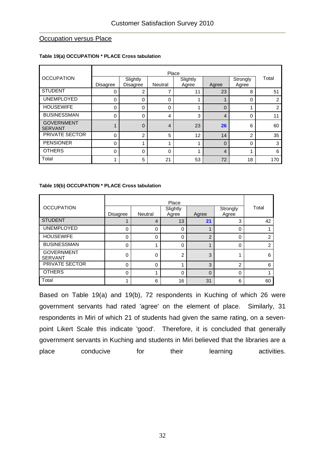#### **Occupation versus Place**

#### **Table 19(a) OCCUPATION \* PLACE Cross tabulation**

|                                     |                 |                      | Place          |                   |                |                   |       |
|-------------------------------------|-----------------|----------------------|----------------|-------------------|----------------|-------------------|-------|
| <b>OCCUPATION</b>                   | <b>Disagree</b> | Slightly<br>Disagree | Neutral        | Slightly<br>Agree | Agree          | Strongly<br>Agree | Total |
| <b>STUDENT</b>                      | 0               | 2                    | 7              | 11                | 23             | 8                 | 51    |
| <b>UNEMPLOYED</b>                   | 0               | 0                    | 0              |                   |                | 0                 | 2     |
| <b>HOUSEWIFE</b>                    | 0               | 0                    | 0              |                   | $\Omega$       |                   | 2     |
| <b>BUSINESSMAN</b>                  | 0               | 0                    | 4              | 3                 | $\overline{4}$ | 0                 | 11    |
| <b>GOVERNMENT</b><br><b>SERVANT</b> |                 | 0                    | $\overline{4}$ | 23                | 26             | 6                 | 60    |
| PRIVATE SECTOR                      | 0               | 2                    | 5              | 12                | 14             | 2                 | 35    |
| <b>PENSIONER</b>                    | $\Omega$        | 1                    | 4              |                   | $\Omega$       | $\Omega$          | 3     |
| <b>OTHERS</b>                       | $\Omega$        | 0                    | 0              | и                 | $\overline{4}$ |                   | 6     |
| Total                               |                 | 5                    | 21             | 53                | 72             | 18                | 170   |

#### **Table 19(b) OCCUPATION \* PLACE Cross tabulation**

| <b>OCCUPATION</b>                   | <b>Disagree</b> | Neutral  | Place<br>Slightly<br>Agree | Agree                   | Strongly<br>Agree | Total |
|-------------------------------------|-----------------|----------|----------------------------|-------------------------|-------------------|-------|
| <b>STUDENT</b>                      |                 | 4        | 13                         | 21                      | 3                 | 42    |
| <b>UNEMPLOYED</b>                   | 0               | 0        | 0                          |                         | 0                 |       |
| <b>HOUSEWIFE</b>                    | 0               | $\Omega$ | 0                          | 2                       | $\Omega$          | っ     |
| <b>BUSINESSMAN</b>                  | 0               |          | 0                          | $\overline{\mathbf{A}}$ | $\Omega$          | 2     |
| <b>GOVERNMENT</b><br><b>SERVANT</b> | 0               | 0        | 2                          | 3                       |                   | 6     |
| PRIVATE SECTOR                      | 0               | $\Omega$ |                            | 3                       | $\mathfrak{p}$    | 6     |
| <b>OTHERS</b>                       | 0               |          | 0                          | $\mathbf 0$             | $\Omega$          |       |
| Total                               |                 | 6        | 16                         | 31                      | 6                 | 60    |

Based on Table 19(a) and 19(b), 72 respondents in Kuching of which 26 were government servants had rated 'agree' on the element of place. Similarly, 31 respondents in Miri of which 21 of students had given the same rating, on a sevenpoint Likert Scale this indicate 'good'. Therefore, it is concluded that generally government servants in Kuching and students in Miri believed that the libraries are a place conducive for their learning activities.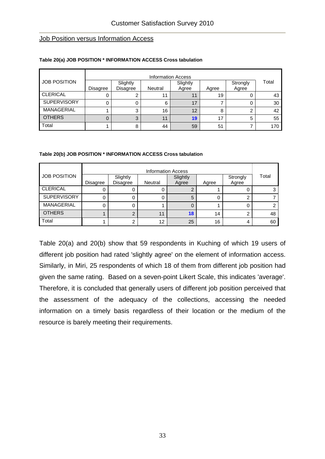#### Job Position versus Information Access

|                     | <b>Information Access</b> |                             |                |                   |       |                   |       |  |  |
|---------------------|---------------------------|-----------------------------|----------------|-------------------|-------|-------------------|-------|--|--|
| <b>JOB POSITION</b> | Disagree                  | Slightly<br><b>Disagree</b> | <b>Neutral</b> | Slightly<br>Agree | Agree | Strongly<br>Agree | Total |  |  |
| <b>CLERICAL</b>     |                           | ⌒                           |                | 11                | 19    |                   | 43    |  |  |
| SUPERVISORY         |                           | 0                           | 6              | 17                |       |                   | 30    |  |  |
| MANAGERIAL          |                           | 3                           | 16             | 12                | 8     |                   | 42    |  |  |
| <b>OTHERS</b>       |                           | 3                           |                | 19                | 17    | 5                 | 55    |  |  |
| Total               |                           | 8                           | 44             | 59                | 51    |                   | 170   |  |  |

#### **Table 20(a) JOB POSITION \* INFORMATION ACCESS Cross tabulation**

#### **Table 20(b) JOB POSITION \* INFORMATION ACCESS Cross tabulation**

|                     |          | <b>Information Access</b>   |         |                   |       |                   |       |  |  |  |
|---------------------|----------|-----------------------------|---------|-------------------|-------|-------------------|-------|--|--|--|
| <b>JOB POSITION</b> | Disagree | Slightly<br><b>Disagree</b> | Neutral | Slightly<br>Agree | Agree | Strongly<br>Agree | Total |  |  |  |
| <b>CLERICAL</b>     |          |                             |         |                   |       | U                 |       |  |  |  |
| <b>SUPERVISORY</b>  | U        |                             |         | 5                 | 0     | ◠                 |       |  |  |  |
| <b>MANAGERIAL</b>   |          |                             |         |                   |       | 0                 |       |  |  |  |
| <b>OTHERS</b>       |          | ◠                           | 11      | 18                | 14    | ◠                 | 48    |  |  |  |
| Total               |          |                             | 12      | 25                | 16    |                   | 60    |  |  |  |

Table 20(a) and 20(b) show that 59 respondents in Kuching of which 19 users of different job position had rated 'slightly agree' on the element of information access. Similarly, in Miri, 25 respondents of which 18 of them from different job position had given the same rating. Based on a seven-point Likert Scale, this indicates 'average'. Therefore, it is concluded that generally users of different job position perceived that the assessment of the adequacy of the collections, accessing the needed information on a timely basis regardless of their location or the medium of the resource is barely meeting their requirements.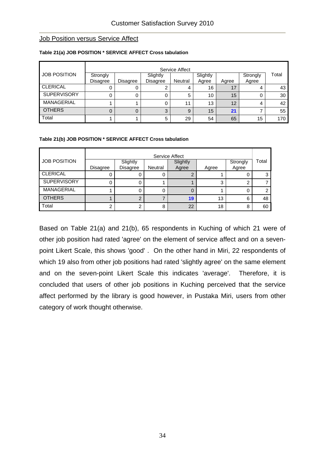#### **Job Position versus Service Affect**

| Service Affect      |                 |                 |                 |                |          |       |          |       |  |
|---------------------|-----------------|-----------------|-----------------|----------------|----------|-------|----------|-------|--|
| <b>JOB POSITION</b> | Strongly        |                 | Slightly        |                | Slightly |       | Strongly | Total |  |
|                     | <b>Disagree</b> | <b>Disagree</b> | <b>Disagree</b> | <b>Neutral</b> | Agree    | Agree | Agree    |       |  |
| <b>CLERICAL</b>     |                 |                 | 2               | 4              | 16       | 17    | 4        | 43    |  |
| <b>SUPERVISORY</b>  |                 |                 | 0               | 5              | 10       | 15    |          | 30    |  |
| MANAGERIAL          |                 |                 | 0               | 11             | 13       | 12    | 4        | 42    |  |
| <b>OTHERS</b>       |                 |                 | 3               | 9              | 15       | 21    |          | 55    |  |
| Total               |                 |                 | 5               | 29             | 54       | 65    | 15       | 170   |  |

#### **Table 21(a) JOB POSITION \* SERVICE AFFECT Cross tabulation**

#### **Table 21(b) JOB POSITION \* SERVICE AFFECT Cross tabulation**

|                     | Service Affect  |                             |         |                   |       |                   |       |  |  |  |
|---------------------|-----------------|-----------------------------|---------|-------------------|-------|-------------------|-------|--|--|--|
| <b>JOB POSITION</b> | <b>Disagree</b> | Slightly<br><b>Disagree</b> | Neutral | Slightly<br>Agree | Agree | Strongly<br>Agree | Total |  |  |  |
| <b>CLERICAL</b>     |                 | U                           | U       |                   |       |                   |       |  |  |  |
| <b>SUPERVISORY</b>  | 0               | 0                           |         |                   |       | ົ                 |       |  |  |  |
| <b>MANAGERIAL</b>   |                 | 0                           | 0       |                   |       |                   |       |  |  |  |
| <b>OTHERS</b>       |                 | າ                           |         | 19                | 13    | 6                 | 48    |  |  |  |
| Total               | ⌒               | ◠                           | 8       | 22                | 18    | 8                 | 60    |  |  |  |

Based on Table 21(a) and 21(b), 65 respondents in Kuching of which 21 were of other job position had rated 'agree' on the element of service affect and on a sevenpoint Likert Scale, this shows 'good' . On the other hand in Miri, 22 respondents of which 19 also from other job positions had rated 'slightly agree' on the same element and on the seven-point Likert Scale this indicates 'average'. Therefore, it is concluded that users of other job positions in Kuching perceived that the service affect performed by the library is good however, in Pustaka Miri, users from other category of work thought otherwise.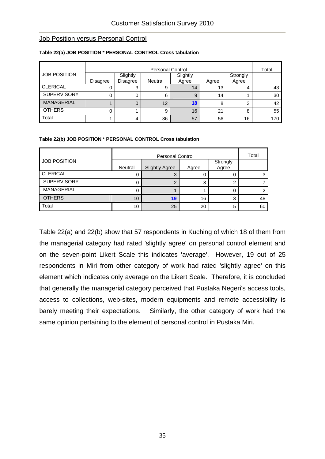#### **Job Position versus Personal Control**

|                     | <b>Personal Control</b> |          |         |          |       |          |     |  |  |
|---------------------|-------------------------|----------|---------|----------|-------|----------|-----|--|--|
| <b>JOB POSITION</b> |                         | Slightly |         | Slightly |       | Strongly |     |  |  |
|                     | <b>Disagree</b>         | Disagree | Neutral | Agree    | Agree | Agree    |     |  |  |
| <b>CLERICAL</b>     | O                       | 3        |         | 14       | 13    | 4        | 43  |  |  |
| <b>SUPERVISORY</b>  | 0                       |          | 6       | 9        | 14    |          | 30  |  |  |
| <b>MANAGERIAL</b>   |                         |          | 12      | 18       | 8     | 3        | 42  |  |  |
| <b>OTHERS</b>       | 0                       |          | 9       | 16       | 21    | 8        | 55  |  |  |
| Total               |                         | 4        | 36      | 57       | 56    | 16       | 170 |  |  |

#### **Table 22(a) JOB POSITION \* PERSONAL CONTROL Cross tabulation**

#### **Table 22(b) JOB POSITION \* PERSONAL CONTROL Cross tabulation**

|                     |                 |                       | Total |                   |    |
|---------------------|-----------------|-----------------------|-------|-------------------|----|
| <b>JOB POSITION</b> | Neutral         | <b>Slightly Agree</b> | Agree | Strongly<br>Agree |    |
| <b>CLERICAL</b>     | υ               | 3                     |       |                   |    |
| <b>SUPERVISORY</b>  | 0               | 2                     | 3     | ◠                 |    |
| <b>MANAGERIAL</b>   | 0               |                       |       | 0                 |    |
| <b>OTHERS</b>       | 10 <sup>1</sup> | 19                    | 16    | 3                 | 48 |
| Total               | 10              | 25                    | 20    | 5                 | 60 |

Table 22(a) and 22(b) show that 57 respondents in Kuching of which 18 of them from the managerial category had rated 'slightly agree' on personal control element and on the seven-point Likert Scale this indicates 'average'. However, 19 out of 25 respondents in Miri from other category of work had rated 'slightly agree' on this element which indicates only average on the Likert Scale. Therefore, it is concluded that generally the managerial category perceived that Pustaka Negeri's access tools, access to collections, web-sites, modern equipments and remote accessibility is barely meeting their expectations. Similarly, the other category of work had the same opinion pertaining to the element of personal control in Pustaka Miri.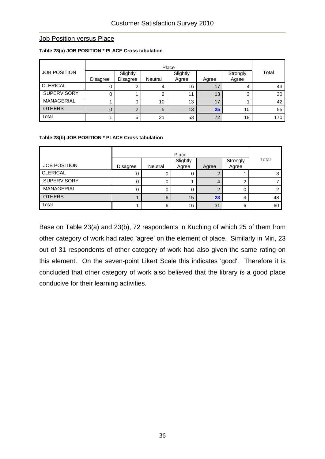#### **Job Position versus Place**

|                     | Place    |                             |                |                   |       |                   |       |  |  |
|---------------------|----------|-----------------------------|----------------|-------------------|-------|-------------------|-------|--|--|
| <b>JOB POSITION</b> | Disagree | Slightly<br><b>Disagree</b> | <b>Neutral</b> | Slightly<br>Agree | Agree | Strongly<br>Agree | Total |  |  |
| <b>CLERICAL</b>     |          |                             |                | 16                | 17    |                   | 43    |  |  |
| <b>SUPERVISORY</b>  |          |                             | ົ              | 11                | 13    | ◠                 | 30    |  |  |
| <b>MANAGERIAL</b>   |          |                             | 10             | 13                | 17    |                   | 42    |  |  |
| <b>OTHERS</b>       |          | ⌒                           | 5              | 13                | 25    | 10                | 55    |  |  |
| Total               |          | 5                           | 21             | 53                | 72    | 18                | 170   |  |  |

#### **Table 23(a) JOB POSITION \* PLACE Cross tabulation**

#### **Table 23(b) JOB POSITION \* PLACE Cross tabulation**

|                     |                 | Place   |                   |       |                   |       |  |  |  |
|---------------------|-----------------|---------|-------------------|-------|-------------------|-------|--|--|--|
| <b>JOB POSITION</b> | <b>Disagree</b> | Neutral | Slightly<br>Agree | Agree | Strongly<br>Agree | Total |  |  |  |
| <b>CLERICAL</b>     | 0               |         | 0                 | ◠     |                   |       |  |  |  |
| <b>SUPERVISORY</b>  | 0               |         |                   | 4     |                   |       |  |  |  |
| MANAGERIAL          | 0               |         |                   | c     |                   | ⌒     |  |  |  |
| <b>OTHERS</b>       |                 | 6       | 15                | 23    | ◠                 | 48    |  |  |  |
| Total               |                 | 6       | 16                | 31    | 6                 | 60    |  |  |  |

Base on Table 23(a) and 23(b), 72 respondents in Kuching of which 25 of them from other category of work had rated 'agree' on the element of place. Similarly in Miri, 23 out of 31 respondents of other category of work had also given the same rating on this element. On the seven-point Likert Scale this indicates 'good'. Therefore it is concluded that other category of work also believed that the library is a good place conducive for their learning activities.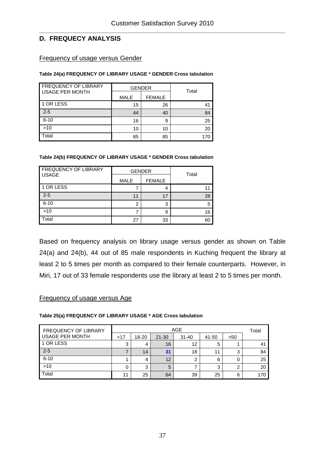## **D. FREQUECY ANALYSIS**

#### Frequency of usage versus Gender

#### **Table 24(a) FREQUENCY OF LIBRARY USAGE \* GENDER Cross tabulation**

| <b>FREQUENCY OF LIBRARY</b><br><b>USAGE PER MONTH</b> | <b>GENDER</b> |               | Total |  |
|-------------------------------------------------------|---------------|---------------|-------|--|
|                                                       | <b>MALE</b>   | <b>FEMALE</b> |       |  |
| 1 OR LESS                                             | 15            | 26            | 41    |  |
| $2 - 5$                                               | 44            | 40            | 84    |  |
| $6 - 10$                                              | 16            | 9             | 25    |  |
| $>10$                                                 | 10            | 10            | 20    |  |
| Total                                                 | 85            | 85            |       |  |

#### **Table 24(b) FREQUENCY OF LIBRARY USAGE \* GENDER Cross tabulation**

| <b>FREQUENCY OF LIBRARY</b><br><b>USAGE</b> |             | <b>GENDER</b> | Total |  |
|---------------------------------------------|-------------|---------------|-------|--|
|                                             | <b>MALE</b> | <b>FEMALE</b> |       |  |
| 1 OR LESS                                   |             |               |       |  |
| $2 - 5$                                     | 11          | 17            | 28    |  |
| $6 - 10$                                    | 2           | 3             | 5     |  |
| >10                                         |             | 9             | 16    |  |
| Total                                       | 27          | 33            | 60    |  |

Based on frequency analysis on library usage versus gender as shown on Table 24(a) and 24(b), 44 out of 85 male respondents in Kuching frequent the library at least 2 to 5 times per month as compared to their female counterparts. However, in Miri, 17 out of 33 female respondents use the library at least 2 to 5 times per month.

## Frequency of usage versus Age

#### **Table 25(a) FREQUENCY OF LIBRARY USAGE \* AGE Cross tabulation**

| <b>FREQUENCY OF LIBRARY</b> |        |       | Total     |           |       |        |     |
|-----------------------------|--------|-------|-----------|-----------|-------|--------|-----|
| USAGE PER MONTH             | $<$ 17 | 18-20 | $21 - 30$ | $31 - 40$ | 41-50 | >50    |     |
| 1 OR LESS                   | 3      | 4     | 16        | 12        | 5     |        | 41  |
| $2 - 5$                     |        | 14    | 31        | 18        | 11    | っ<br>د | 84  |
| $6 - 10$                    |        | 4     | 12        |           | 6     |        | 25  |
| $>10$                       | 0      | 3     | 5         |           | 3     | ◠      | 20  |
| Total                       | 11     | 25    | 64        | 39        | 25    | 6      | 170 |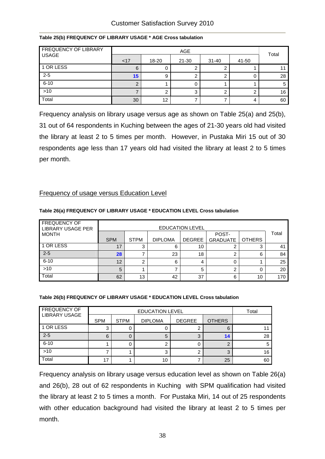| <b>FREQUENCY OF LIBRARY</b> |     | Total |       |           |       |    |
|-----------------------------|-----|-------|-------|-----------|-------|----|
| <b>USAGE</b>                | <17 | 18-20 | 21-30 | $31 - 40$ | 41-50 |    |
| 1 OR LESS                   | 6   | U     |       |           |       |    |
| $2 - 5$                     | 15  | 9     |       |           |       | 28 |
| $6 - 10$                    |     |       |       |           |       | 5  |
| $>10$                       |     | ⌒     | ◠     |           |       | 16 |
| Total                       | 30  | 12    |       |           |       | 60 |

#### **Table 25(b) FREQUENCY OF LIBRARY USAGE \* AGE Cross tabulation**

Frequency analysis on library usage versus age as shown on Table 25(a) and 25(b), 31 out of 64 respondents in Kuching between the ages of 21-30 years old had visited the library at least 2 to 5 times per month. However, in Pustaka Miri 15 out of 30 respondents age less than 17 years old had visited the library at least 2 to 5 times per month.

## Frequency of usage versus Education Level

#### EDUCATION LEVEL FREQUENCY OF LIBRARY USAGE PER MONTH SPM STPM DIPLOMA DEGREE POST-GRADUATE | OTHERS Total 1 OR LESS 17 | 3 | 6 | 10 | 2 | 3 | 41 2-5 **28 7 23 18 2** 6 84 6-10  $12 | 2 | 6 | 4 | 0 | 1 | 25$  $>10$  5 1 7 5 2 0 20 Total 62 | 13 | 42 | 37 | 6 | 10 | 170

#### **Table 26(a) FREQUENCY OF LIBRARY USAGE \* EDUCATION LEVEL Cross tabulation**

#### **Table 26(b) FREQUENCY OF LIBRARY USAGE \* EDUCATION LEVEL Cross tabulation**

| <b>FREQUENCY OF</b>  |            | Total                                                           |    |  |    |    |  |
|----------------------|------------|-----------------------------------------------------------------|----|--|----|----|--|
| <b>LIBRARY USAGE</b> | <b>SPM</b> | <b>OTHERS</b><br><b>STPM</b><br><b>DEGREE</b><br><b>DIPLOMA</b> |    |  |    |    |  |
| 1 OR LESS            | 3          |                                                                 |    |  | 6  |    |  |
| $2 - 5$              | 6          |                                                                 | 5  |  | 14 | 28 |  |
| $6 - 10$             |            |                                                                 |    |  |    | 5  |  |
| $>10$                |            |                                                                 |    |  |    | 16 |  |
| Total                | 17         |                                                                 | 10 |  | 25 | 60 |  |

Frequency analysis on library usage versus education level as shown on Table 26(a) and 26(b), 28 out of 62 respondents in Kuching with SPM qualification had visited the library at least 2 to 5 times a month. For Pustaka Miri, 14 out of 25 respondents with other education background had visited the library at least 2 to 5 times per month.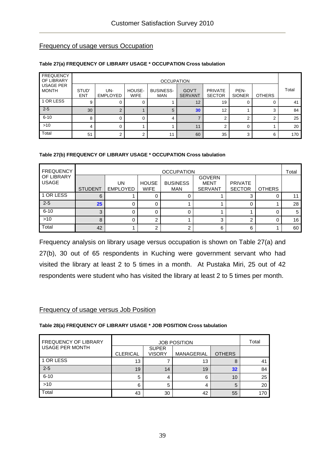## Frequency of usage versus Occupation

#### **Table 27(a) FREQUENCY OF LIBRARY USAGE \* OCCUPATION Cross tabulation**

| <b>FREQUENCY</b><br>OF LIBRARY   |                     | <b>OCCUPATION</b>      |                       |                                |                                |                                 |                       |               |       |  |  |
|----------------------------------|---------------------|------------------------|-----------------------|--------------------------------|--------------------------------|---------------------------------|-----------------------|---------------|-------|--|--|
| <b>USAGE PER</b><br><b>MONTH</b> | STUD'<br><b>ENT</b> | UN-<br><b>EMPLOYED</b> | HOUSE-<br><b>WIFE</b> | <b>BUSINESS-</b><br><b>MAN</b> | <b>GOV'T</b><br><b>SERVANT</b> | <b>PRIVATE</b><br><b>SECTOR</b> | PEN-<br><b>SIONER</b> | <b>OTHERS</b> | Total |  |  |
| 1 OR LESS                        | 9                   |                        |                       |                                | 12                             | 19                              | O                     |               | 41    |  |  |
| $2 - 5$                          | 30                  | $\Omega$               |                       | 5                              | 30                             | 12                              |                       |               | 84    |  |  |
| $6 - 10$                         | 8                   |                        |                       | 4                              |                                | ົ                               | ົ                     |               | 25    |  |  |
| $>10$                            | 4                   |                        |                       |                                | 11                             |                                 | 0                     |               | 20    |  |  |
| Total                            | 51                  | ◠                      | ◠                     | 11                             | 60                             | 35                              | 3                     | 6             | 170   |  |  |

#### **Table 27(b) FREQUENCY OF LIBRARY USAGE \* OCCUPATION Cross tabulation**

| <b>FREQUENCY</b>                  | <b>OCCUPATION</b> |                       |                             |                        |                                                |                                 |               |    |  |
|-----------------------------------|-------------------|-----------------------|-----------------------------|------------------------|------------------------------------------------|---------------------------------|---------------|----|--|
| <b>OF LIBRARY</b><br><b>USAGE</b> | <b>STUDENT</b>    | UN<br><b>EMPLOYED</b> | <b>HOUSE</b><br><b>WIFE</b> | <b>BUSINESS</b><br>MAN | <b>GOVERN</b><br><b>MENT</b><br><b>SERVANT</b> | <b>PRIVATE</b><br><b>SECTOR</b> | <b>OTHERS</b> |    |  |
|                                   |                   |                       |                             |                        |                                                |                                 |               |    |  |
| 1 OR LESS                         | 6                 |                       |                             |                        |                                                |                                 |               |    |  |
| $2 - 5$                           | 25                |                       |                             |                        |                                                |                                 |               | 28 |  |
| $6 - 10$                          |                   |                       |                             |                        |                                                |                                 |               | 5  |  |
| $>10$                             |                   |                       |                             |                        | 3                                              | ◠                               |               | 16 |  |
| Total                             | 42                |                       |                             | ◠                      | 6                                              | 6                               |               | 60 |  |

Frequency analysis on library usage versus occupation is shown on Table 27(a) and 27(b), 30 out of 65 respondents in Kuching were government servant who had visited the library at least 2 to 5 times in a month. At Pustaka Miri, 25 out of 42 respondents were student who has visited the library at least 2 to 5 times per month.

#### Frequency of usage versus Job Position

#### **Table 28(a) FREQUENCY OF LIBRARY USAGE \* JOB POSITION Cross tabulation**

| <b>FREQUENCY OF LIBRARY</b> |                 |                               | Total             |               |     |
|-----------------------------|-----------------|-------------------------------|-------------------|---------------|-----|
| <b>USAGE PER MONTH</b>      | <b>CLERICAL</b> | <b>SUPER</b><br><b>VISORY</b> | <b>MANAGERIAL</b> | <b>OTHERS</b> |     |
| 1 OR LESS                   | 13              |                               | 13                | 8             | 41  |
| $2 - 5$                     | 19              | 14                            | 19                | 32            | 84  |
| $6 - 10$                    | 5               | 4                             | 6                 | 10            | 25  |
| $>10$                       | 6               | 5                             | 4                 | 5             | 20  |
| Total                       | 43              | 30                            | 42                | 55            | 170 |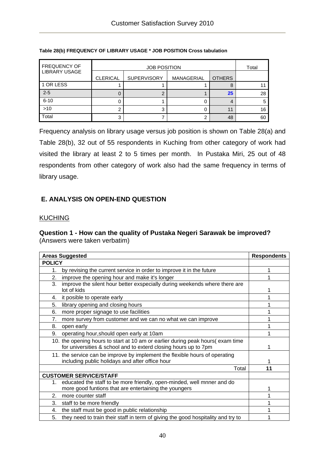| <b>FREQUENCY OF</b>  |                 | <b>JOB POSITION</b>                               |   |    |    |  |  |  |
|----------------------|-----------------|---------------------------------------------------|---|----|----|--|--|--|
| <b>LIBRARY USAGE</b> | <b>CLERICAL</b> | <b>SUPERVISORY</b><br><b>OTHERS</b><br>MANAGERIAL |   |    |    |  |  |  |
| 1 OR LESS            |                 |                                                   |   |    |    |  |  |  |
| $2 - 5$              | O               | ⌒                                                 |   | 25 | 28 |  |  |  |
| $6 - 10$             | O               |                                                   |   |    |    |  |  |  |
| $>10$                | 2               | 3                                                 |   | 11 | 16 |  |  |  |
| Total                | 3               |                                                   | ⌒ | 48 | 60 |  |  |  |

#### **Table 28(b) FREQUENCY OF LIBRARY USAGE \* JOB POSITION Cross tabulation**

Frequency analysis on library usage versus job position is shown on Table 28(a) and Table 28(b), 32 out of 55 respondents in Kuching from other category of work had visited the library at least 2 to 5 times per month. In Pustaka Miri, 25 out of 48 respondents from other category of work also had the same frequency in terms of library usage.

## **E. ANALYSIS ON OPEN-END QUESTION**

## **KUCHING**

#### **Question 1 - How can the quality of Pustaka Negeri Sarawak be improved?**  (Answers were taken verbatim)

| <b>Areas Suggested</b>                                                                 | <b>Respondents</b> |
|----------------------------------------------------------------------------------------|--------------------|
| <b>POLICY</b>                                                                          |                    |
| by revising the current service in order to improve it in the future<br>$1_{-}$        |                    |
| improve the opening hour and make it's longer<br>2.                                    |                    |
| 3.<br>improve the silent hour better exspecially during weekends where there are       |                    |
| lot of kids                                                                            |                    |
| it posible to operate early<br>4.                                                      |                    |
| 5.<br>library opening and closing hours                                                |                    |
| 6.<br>more proper signage to use facilities                                            |                    |
| 7.<br>more survey from customer and we can no what we can improve                      |                    |
| 8.<br>open early                                                                       |                    |
| 9.<br>operating hour, should open early at 10am                                        |                    |
| 10. the opening hours to start at 10 am or earlier during peak hours(exam time         |                    |
| for universities & school and to exterd closing hours up to 7pm                        |                    |
| 11. the service can be improve by implement the flexible hours of operating            |                    |
| including public holidays and after office hour                                        |                    |
|                                                                                        | 11<br>Total        |
| <b>CUSTOMER SERVICE/STAFF</b>                                                          |                    |
| educated the staff to be more friendly, open-minded, well mnner and do<br>1.           |                    |
| more good funtions that are entertaining the youngers                                  |                    |
| 2.<br>more counter staff                                                               |                    |
| 3.<br>staff to be more friendly                                                        |                    |
| the staff must be good in public relationship<br>4.                                    |                    |
| 5.<br>they need to train their staff in term of giving the good hospitality and try to |                    |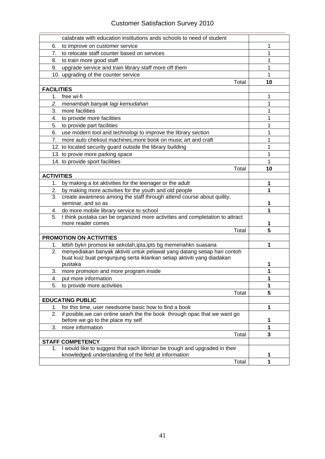|                   | calabrate with education institutions ands schools to need of student                                                                          |       |    |
|-------------------|------------------------------------------------------------------------------------------------------------------------------------------------|-------|----|
| 6.                | to improve on customer service                                                                                                                 |       | 1  |
| 7.                | to relocate staff counter based on services                                                                                                    |       | 1  |
|                   | 8. to train more good staff                                                                                                                    |       | 1  |
| 9.                | upgrade service and train library staff more off them                                                                                          |       | 1  |
|                   | 10. upgrading of the counter service                                                                                                           |       | 1  |
|                   |                                                                                                                                                | Total | 10 |
| <b>FACILITIES</b> |                                                                                                                                                |       |    |
|                   | 1. free wi-fi                                                                                                                                  |       | 1  |
| 2.                | menambah banyak lagi kemudahan                                                                                                                 |       | 1  |
| 3.                | more facilities                                                                                                                                |       | 1  |
|                   | 4. to provide more facilities                                                                                                                  |       | 1  |
|                   | 5. to provide part facilities                                                                                                                  |       | 1  |
|                   |                                                                                                                                                |       |    |
|                   | 6. use modern tool and technologi to improve the library section                                                                               |       | 1  |
| 7.                | more auto chekout machines, more book on music art and craft                                                                                   |       | 1  |
|                   | 12. to located security guard outside the library building                                                                                     |       | 1  |
|                   | 13. to provie more parking space                                                                                                               |       | 1  |
|                   | 14. to provide sport facilities                                                                                                                |       | 1  |
|                   |                                                                                                                                                | Total | 10 |
| <b>ACTIVITIES</b> |                                                                                                                                                |       |    |
| 1.                | by making a lot aktivities for the teenager or the adult                                                                                       |       | 1  |
| 2.                | by making more activities for the youth and old people                                                                                         |       | 1  |
| 3.                | create awareness among the staff through attend course about quility,                                                                          |       |    |
|                   | seminar, and so as                                                                                                                             |       | 1  |
|                   | 4. do more mobile library service to school                                                                                                    |       | 1  |
|                   | 5. I think pustaka can be organized more activities and completation to attract<br>more reader comes                                           |       |    |
|                   |                                                                                                                                                | Total | 5  |
|                   | <b>PROMOTION ON ACTIVITIES</b>                                                                                                                 |       |    |
|                   |                                                                                                                                                |       | 1  |
| 2.                | 1. lebih bykn promosi ke sekolah, ipta, ipts bg memeriahkn suasana<br>menyediakan banyak aktiviti untuk pelawat yang datang setiap hari contoh |       |    |
|                   | buat kuiz buat pengunjung serta iklankan setiap aktiviti yang diadakan                                                                         |       |    |
|                   | pustaka                                                                                                                                        |       | 1  |
| 3.                | more promoion and more program inside                                                                                                          |       | 1  |
| 4.                | put more information                                                                                                                           |       | 1  |
| 5.                | to provide more activities                                                                                                                     |       | 1  |
|                   |                                                                                                                                                | Total | 5  |
|                   | <b>EDUCATING PUBLIC</b>                                                                                                                        |       |    |
| 1.                | for this time, user needsome basic how to find a book                                                                                          |       | 1  |
| 2.                | if posible, we can online searh the the book through opac that we want go                                                                      |       |    |
|                   | before we go to the place my self                                                                                                              |       | 1  |
| 3.                | more information                                                                                                                               |       | 1  |
|                   |                                                                                                                                                | Total | 3  |
|                   | <b>STAFF COMPETENCY</b>                                                                                                                        |       |    |
|                   | 1. I would like to suggest that each libririan be trough and upgraded in their                                                                 |       |    |
|                   | knowledge& understanding of the field at information                                                                                           |       | 1  |
|                   |                                                                                                                                                | Total | 1  |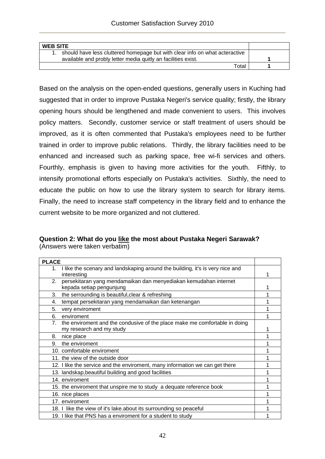| <b>WEB SITE</b>                                                             |  |
|-----------------------------------------------------------------------------|--|
| should have less cluttered homepage but with clear info on what acteractive |  |
| available and probly letter media quitly an facilities exist.               |  |
| Total                                                                       |  |

Based on the analysis on the open-ended questions, generally users in Kuching had suggested that in order to improve Pustaka Negeri's service quality; firstly, the library opening hours should be lengthened and made convenient to users. This involves policy matters. Secondly, customer service or staff treatment of users should be improved, as it is often commented that Pustaka's employees need to be further trained in order to improve public relations. Thirdly, the library facilities need to be enhanced and increased such as parking space, free wi-fi services and others. Fourthly, emphasis is given to having more activities for the youth. Fifthly, to intensify promotional efforts especially on Pustaka's activities. Sixthly, the need to educate the public on how to use the library system to search for library items. Finally, the need to increase staff competency in the library field and to enhance the current website to be more organized and not cluttered.

## **Question 2: What do you like the most about Pustaka Negeri Sarawak?**  (Answers were taken verbatim)

| <b>PLACE</b>                                                                        |  |
|-------------------------------------------------------------------------------------|--|
| I like the scenary and landskaping around the building, it's is very nice and<br>1. |  |
| interesting                                                                         |  |
| persekitaran yang mendamaikan dan menyediakan kemudahan internet<br>2.              |  |
| kepada setiap pengunjung                                                            |  |
| 3.<br>the serrounding is beautiful, clear & refreshing                              |  |
| tempat persekitaran yang mendamaikan dan ketenangan<br>4.                           |  |
| 5.<br>very enviroment                                                               |  |
| 6.<br>enviroment                                                                    |  |
| 7. the enviroment and the condusive of the place make me comfortable in doing       |  |
| my research and my study                                                            |  |
| 8.<br>nice place                                                                    |  |
| the enviroment<br>9.                                                                |  |
| 10. comfortable enviroment                                                          |  |
| 11. the view of the outside door                                                    |  |
| 12. I like the service and the enviroment, many information we can get there        |  |
| 13. landskap, beautiful building and good facilities                                |  |
| 14. enviroment                                                                      |  |
| 15. the enviroment that unspire me to study a dequate reference book                |  |
| 16. nice places                                                                     |  |
| 17. enviroment                                                                      |  |
| 18. I like the view of it's lake about its surrounding so peaceful                  |  |
| 19. I like that PNS has a enviroment for a student to study                         |  |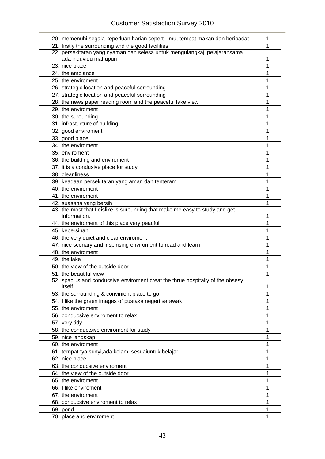## Customer Satisfaction Survey 2010

| 20. memenuhi segala keperluan harian seperti ilmu, tempat makan dan beribadat            | 1 |
|------------------------------------------------------------------------------------------|---|
| 21. firstly the surrounding and the good facilities                                      | 1 |
| 22. persekitaran yang nyaman dan selesa untuk mengulangkaji pelajaransama                |   |
| ada induvidu mahupun                                                                     | 1 |
| 23. nice place                                                                           | 1 |
| 24. the amblance                                                                         | 1 |
| 25. the enviroment                                                                       | 1 |
| 26. strategic location and peaceful sorrounding                                          | 1 |
| 27. strategic location and peaceful sorrounding                                          | 1 |
| 28. the news paper reading room and the peaceful lake view                               | 1 |
| 29. the enviroment                                                                       | 1 |
| 30. the surounding                                                                       | 1 |
| 31. infrastucture of building                                                            | 1 |
| 32. good enviroment                                                                      | 1 |
| 33. good place                                                                           | 1 |
| 34. the enviroment                                                                       | 1 |
| 35. enviroment                                                                           | 1 |
| 36. the building and enviroment                                                          | 1 |
| 37. it is a condusive place for study                                                    | 1 |
| 38. cleanliness                                                                          | 1 |
| 39. keadaan persekitaran yang aman dan tenteram                                          | 1 |
| 40. the enviroment                                                                       | 1 |
| 41. the enviroment                                                                       | 1 |
| 42. suasana yang bersih                                                                  | 1 |
| 43. the most that I dislike is surounding that make me easy to study and get             |   |
| information.                                                                             | 1 |
| 44. the enviroment of this place very peacful                                            | 1 |
| 45. kebersihan                                                                           | 1 |
| 46. the very quiet and clear enviroment                                                  | 1 |
| 47. nice scenary and inspirising enviroment to read and learn                            | 1 |
| 48. the enviroment                                                                       | 1 |
| 49. the lake                                                                             | 1 |
| 50. the view of the outside door                                                         | 1 |
| 51. the beautiful view                                                                   | 1 |
| 52. spacius and conducsive enviroment creat the thrue hospitally of the obsesy<br>itself | 1 |
| 53. the surrounding & convinient place to go                                             | 1 |
| 54. I like the green images of pustaka negeri sarawak                                    | 1 |
| 55. the enviroment                                                                       | 1 |
| 56. conducsive enviroment to relax                                                       | 1 |
| 57. very tidy                                                                            | 1 |
| 58. the conductsive enviroment for study                                                 | 1 |
| 59. nice landskap                                                                        | 1 |
| 60. the enviroment                                                                       | 1 |
| 61. tempatnya sunyi, ada kolam, sesuaiuntuk belajar                                      | 1 |
| 62. nice place                                                                           | 1 |
| 63. the conducsive enviroment                                                            | 1 |
| 64. the view of the outside door                                                         | 1 |
| 65. the enviroment                                                                       | 1 |
| 66. I like enviroment                                                                    | 1 |
| 67. the enviroment                                                                       | 1 |
| 68. conducsive enviroment to relax                                                       | 1 |
| 69. pond                                                                                 | 1 |
| 70. place and enviroment                                                                 | 1 |
|                                                                                          |   |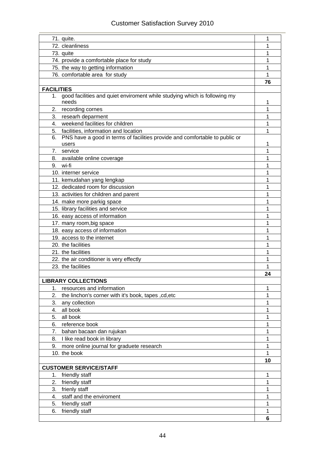| 71. quite.                                                                        | 1      |
|-----------------------------------------------------------------------------------|--------|
| 72. cleanliness                                                                   | 1      |
| 73. quite                                                                         | 1      |
| 74. provide a comfortable place for study                                         | 1      |
| 75. the way to getting information                                                | 1      |
| 76. comfortable area for study                                                    | 1      |
|                                                                                   | 76     |
| <b>FACILITIES</b>                                                                 |        |
| good facilities and quiet enviroment while studying which is following my<br>1.   |        |
| needs                                                                             | 1      |
| 2. recording cornes                                                               | 1      |
| 3. researh deparment<br>4. weekend facilities for children                        | 1<br>1 |
| 5. facilities, information and location                                           | 1      |
| PNS have a good in terms of facilities provide and comfortable to public or<br>6. |        |
| users                                                                             | 1      |
| 7. service                                                                        | 1      |
| 8. available online coverage                                                      | 1      |
| 9. wi-fi                                                                          | 1      |
| 10. interner service                                                              | 1      |
| 11. kemudahan yang lengkap                                                        | 1      |
| 12. dedicated room for discussion                                                 | 1      |
| 13. activities for children and parent                                            | 1      |
| 14. make more parkig space                                                        | 1      |
| 15. library facilities and service                                                | 1      |
| 16. easy access of information                                                    | 1      |
| 17. many room, big space                                                          | 1      |
| 18. easy access of information                                                    | 1      |
| 19. access to the internet                                                        | 1      |
| 20. the facilities                                                                | 1      |
| 21. the facilities                                                                | 1      |
| 22. the air conditioner is very effectly                                          | 1      |
| 23. the facilities                                                                | 1      |
|                                                                                   | 24     |
| <b>LIBRARY COLLECTIONS</b>                                                        |        |
| resources and information<br>1.                                                   | 1      |
| 2.<br>the linchon's corner with it's book, tapes, cd, etc                         | 1      |
| 3.<br>any collection                                                              | 1      |
| all book<br>4.                                                                    | 1      |
| 5.<br>all book                                                                    | 1      |
| 6.<br>reference book                                                              | 1      |
| bahan bacaan dan rujukan<br>7.                                                    | 1      |
| I like read book in library<br>8.                                                 | 1      |
| more online journal for graduete research<br>9.<br>10. the book                   | 1<br>1 |
|                                                                                   | 10     |
| <b>CUSTOMER SERVICE/STAFF</b>                                                     |        |
| friendly staff<br>1.                                                              | 1      |
| 2.<br>friendly staff                                                              | 1      |
| 3. frienly staff                                                                  | 1      |
| staff and the enviroment<br>4.                                                    | 1      |
| 5.<br>friendly staff                                                              | 1      |
| friendly staff<br>6.                                                              | 1      |
|                                                                                   | 6      |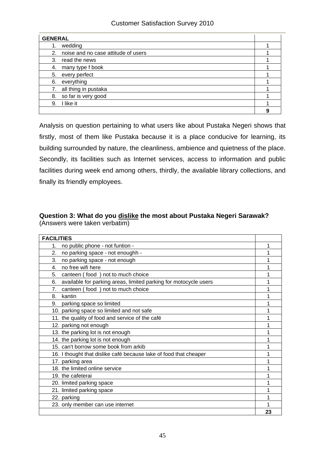| <b>GENERAL</b>                         |   |
|----------------------------------------|---|
| wedding<br>1.                          |   |
| 2. noise and no case attitude of users |   |
| read the news<br>3.                    |   |
| many type f book<br>4.                 |   |
| every perfect<br>5.                    |   |
| everything<br>6.                       |   |
| 7. all thing in pustaka                |   |
| so far is very good<br>8.              |   |
| I like it<br>9.                        |   |
|                                        | 9 |

Analysis on question pertaining to what users like about Pustaka Negeri shows that firstly, most of them like Pustaka because it is a place conducive for learning, its building surrounded by nature, the cleanliness, ambience and quietness of the place. Secondly, its facilities such as Internet services, access to information and public facilities during week end among others, thirdly, the available library collections, and finally its friendly employees.

## **Question 3: What do you dislike the most about Pustaka Negeri Sarawak?**  (Answers were taken verbatim)

| <b>FACILITIES</b>                                                      |    |
|------------------------------------------------------------------------|----|
| no public phone - not funtion -<br>1.                                  | 1  |
| 2.<br>no parking space - not enoughh -                                 | 1  |
| 3.<br>no parking space - not enough                                    | 1  |
| no free wifi here<br>4.                                                | 1  |
| 5.<br>canteen (food) not to much choice                                | 1  |
| 6.<br>available for parking areas, limited parking for motocycle users | 1  |
| canteen (food) not to much choice<br>7.                                | 1  |
| kantin<br>8.                                                           |    |
| 9. parking space so limited                                            | 1  |
| 10. parking space so limited and not safe                              |    |
| 11. the quality of food and service of the café                        | 1  |
| 12. parking not enough                                                 |    |
| 13. the parking lot is not enough                                      | 1  |
| 14. the parking lot is not enough                                      |    |
| 15. can't borrow some book from arkib                                  | 1  |
| 16. I thought that dislike café because lake of food that cheaper      |    |
| 17. parking area                                                       |    |
| 18. the limited online service                                         |    |
| 19. the cafeterai                                                      |    |
| 20. limited parking space                                              |    |
| 21. limited parking space                                              |    |
| 22. parking                                                            |    |
| 23. only member can use internet                                       |    |
|                                                                        | 23 |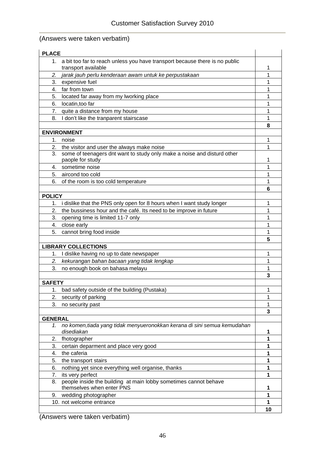## (Answers were taken verbatim)

| <b>PLACE</b>   |                                                                                             |    |
|----------------|---------------------------------------------------------------------------------------------|----|
|                | 1. a bit too far to reach unless you have transport because there is no public              |    |
|                | transport available                                                                         | 1  |
| 2.             | jarak jauh perlu kenderaan awam untuk ke perpustakaan                                       | 1  |
| 3.             | expensive fuel                                                                              | 1  |
| 4.             | far from town                                                                               | 1  |
| 5.             | located far away from my lworking place                                                     | 1  |
| 6.             | locatin, too far                                                                            | 1  |
|                | 7. quite a distance from my house                                                           | 1  |
| 8.             | I don't like the tranparent stairscase                                                      | 1  |
|                |                                                                                             | 8  |
|                | <b>ENVIRONMENT</b>                                                                          |    |
| 1.             | noise                                                                                       | 1  |
|                | 2. the visitor and user the always make noise                                               | 1  |
| 3.             | some of teenagers dnt want to study only make a noise and disturd other<br>paople for study | 1  |
|                | 4. sometime noise                                                                           | 1  |
|                | 5. aircond too cold                                                                         | 1  |
| 6.             |                                                                                             | 1  |
|                | of the room is too cold temperature                                                         | 6  |
| <b>POLICY</b>  |                                                                                             |    |
|                | 1. i dislike that the PNS only open for 8 hours when I want study longer                    | 1  |
| 2.             |                                                                                             |    |
|                | the bussiness hour and the café. Its need to be improve in future                           | 1  |
| 3.             | opening time is limited 11-7 only                                                           | 1  |
|                | 4. close early                                                                              | 1  |
| 5.             | cannot bring food inside                                                                    | 1  |
|                |                                                                                             | 5  |
|                | <b>LIBRARY COLLECTIONS</b>                                                                  |    |
| 1.             | I dislike having no up to date newspaper                                                    | 1  |
| 2.             | kekurangan bahan bacaan yang tidak lengkap                                                  | 1  |
| 3.             | no enough book on bahasa melayu                                                             | 1  |
|                |                                                                                             | 3  |
| <b>SAFETY</b>  |                                                                                             |    |
| 1.             | bad safety outside of the building (Pustaka)                                                | 1  |
| 2.             | security of parking                                                                         | 1  |
| 3.             | no security past                                                                            | 1  |
|                |                                                                                             | 3  |
| <b>GENERAL</b> |                                                                                             |    |
| 1.             | no komen, tiada yang tidak menyueronokkan kerana di sini semua kemudahan<br>disediakan      | 1  |
| 2.             | fhotographer                                                                                | 1  |
| 3.             | certain deparment and place very good                                                       | 1  |
| 4.             | the caferia                                                                                 | 1  |
| 5.             | the transport stairs                                                                        | 1  |
| 6.             | nothing yet since everything well organise, thanks                                          | 1  |
| 7.             | its very perfect                                                                            | 1  |
| 8.             | people inside the building at main lobby sometimes cannot behave                            |    |
|                | themselves when enter PNS                                                                   | 1  |
| 9.             | wedding photographer                                                                        | 1  |
|                | 10. not welcome entrance                                                                    | 1  |
|                |                                                                                             | 10 |

(Answers were taken verbatim)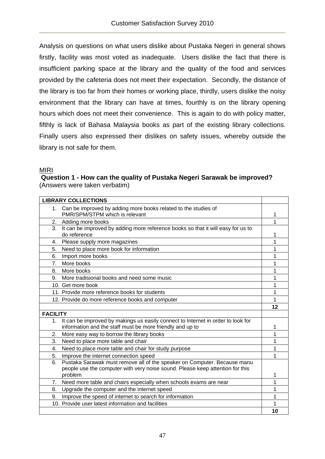Analysis on questions on what users dislike about Pustaka Negeri in general shows firstly, facility was most voted as inadequate. Users dislike the fact that there is insufficient parking space at the library and the quality of the food and services provided by the cafeteria does not meet their expectation. Secondly, the distance of the library is too far from their homes or working place, thirdly, users dislike the noisy environment that the library can have at times, fourthly is on the library opening hours which does not meet their convenience. This is again to do with policy matter, fifthly is lack of Bahasa Malaysia books as part of the existing library collections. Finally users also expressed their dislikes on safety issues, whereby outside the library is not safe for them.

## MIRI

 **Question 1 - How can the quality of Pustaka Negeri Sarawak be improved?**  (Answers were taken verbatim)

|                  | <b>LIBRARY COLLECTIONS</b>                                                       |    |
|------------------|----------------------------------------------------------------------------------|----|
| 1.               | Can be improved by adding more books related to the studies of                   |    |
|                  | PMR/SPM/STPM which is relevant                                                   |    |
| 2.               | Adding more books                                                                | 1  |
| $\overline{3}$ . | It can be improved by adding more reference books so that it will easy for us to |    |
|                  | do reference                                                                     |    |
| 4.               | Please supply more magazines                                                     | 1  |
| 5.               | Need to place more book for information                                          | 1  |
| 6.               | Import more books                                                                | 1  |
| 7.               | More books                                                                       | 1  |
| 8.               | More books                                                                       | 1  |
| 9.               | More tradisional books and need some music                                       | 1  |
|                  | 10. Get more book                                                                | 1  |
|                  | 11. Provide more reference books for students                                    | 1  |
|                  | 12. Provide do more reference books and computer                                 | 1  |
|                  |                                                                                  | 12 |
| <b>FACILITY</b>  |                                                                                  |    |
| 1.               | It can be improved by makings us easily connect to Internet in order to look for |    |
|                  | information and the staff must be more friendly and up to                        | 1  |
| 2.               | More easy way to borrow the library books                                        | 1  |
| 3.               | Need to place more table and chair                                               | 1  |
| 4.               | Need to place more table and chair for study purpose                             | 1  |
| 5.               | Improve the internet connection speed                                            | 1  |
| 6.               | Pustaka Sarawak must remove all of the speaker on Computer. Because manu         |    |
|                  | people use the computer with very noise sound. Please keep attention for this    |    |
|                  | problem                                                                          | 1  |
| 7.               | Need more table and chairs especially when schools exams are near                | 1  |
| 8.               | Upgrade the computer and the internet speed                                      | 1  |
| 9.               | Improve the speed of internet to search for information                          | 1  |
|                  | 10. Provide user latest information and facilities                               |    |
|                  |                                                                                  | 10 |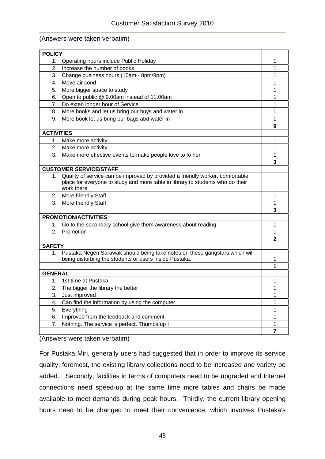#### (Answers were taken verbatim)

| <b>POLICY</b>     |                                                                                |              |
|-------------------|--------------------------------------------------------------------------------|--------------|
| 1.                | Operating hours include Public Holiday                                         | 1            |
| 2.                | Increase the number of books                                                   | 1            |
| 3.                | Change business hours (10am - 8pm/9pm)                                         | 1            |
| 4.                | Move air cond                                                                  | 1            |
| 5.                | More bigger space to study                                                     | 1            |
| 6.                | Open to public @ 9.00am instead of 11.00am                                     | 1            |
| 7.                | Do exten longer hour of Service                                                | 1            |
| 8.                | More books and let us bring our buys and water in                              | 1            |
| 9.                | More book let us bring our bags abd water in                                   | 1            |
|                   |                                                                                | 9            |
| <b>ACTIVITIES</b> |                                                                                |              |
| 1.                | Make more activity                                                             | 1            |
| 2.                | Make more activity                                                             | 1            |
| 3.                | Make more effective events to make people love to fo her                       | 1            |
|                   |                                                                                | 3            |
|                   | <b>CUSTOMER SERVICE/STAFF</b>                                                  |              |
| 1.                | Quality of service can be improved by provided a friendly worker, comfortable  |              |
|                   | place for everyone to study and more table in library to students who do their |              |
|                   | work there                                                                     | 1            |
| 2.                | More friendly Staff                                                            | 1            |
| 3.                | More friendly Staff                                                            | 1            |
|                   |                                                                                | 3            |
|                   | PROMOTION/ACTIVITIES                                                           |              |
| 1.                | Go to the secondary school give them awareness about reading                   | 1            |
| 2.                | Promotion                                                                      | 1            |
|                   |                                                                                | $\mathbf{2}$ |
| <b>SAFETY</b>     |                                                                                |              |
| 1 <sub>1</sub>    | Pustaka Negeri Sarawak should being take notes on these gangstars which will   |              |
|                   | being disturbing the students or users inside Pustaka.                         | 1            |
|                   |                                                                                | 1            |
| <b>GENERAL</b>    |                                                                                |              |
| 1.                | 1st time at Pustaka                                                            | 1            |
| 2.                | The bigger the library the better                                              | 1            |
| 3.                | Just improved                                                                  | 1            |
| 4.                | Can find the information by using the computer                                 | 1            |
| 5.                | Everything                                                                     | 1            |
| 6.                | Improved from the feedback and comment                                         | 1            |
| 7.                | Nothing. The service is perfect. Thumbs up !                                   | 1            |
|                   |                                                                                | 7            |
|                   |                                                                                |              |

(Answers were taken verbatim)

For Pustaka Miri, generally users had suggested that in order to improve its service quality; foremost, the existing library collections need to be increased and variety be added. Secondly, facilities in terms of computers need to be upgraded and Internet connections need speed-up at the same time more tables and chairs be made available to meet demands during peak hours. Thirdly, the current library opening hours need to be changed to meet their convenience, which involves Pustaka's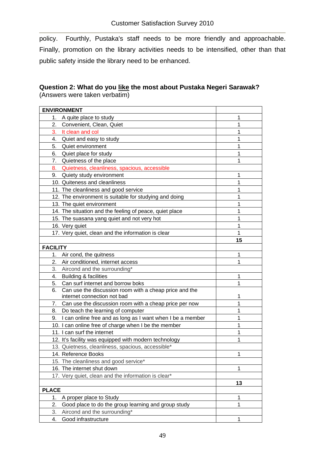policy. Fourthly, Pustaka's staff needs to be more friendly and approachable. Finally, promotion on the library activities needs to be intensified, other than that public safety inside the library need to be enhanced.

## **Question 2: What do you like the most about Pustaka Negeri Sarawak?**  (Answers were taken verbatim)

|                 | <b>ENVIRONMENT</b>                                         |    |
|-----------------|------------------------------------------------------------|----|
|                 | 1. A quite place to study                                  | 1  |
| 2.              | Convenient, Clean, Quiet                                   | 1  |
| 3.              | It clean and col                                           | 1  |
| 4.              | Quiet and easy to study                                    | 1  |
| 5.              | Quiet environment                                          | 1  |
| 6.              | Quiet place for study                                      | 1  |
| 7.              | Quietness of the place                                     | 1  |
| 8.              | Quietness, cleanliness, spacious, accessible               |    |
| 9.              | Quiety study environment                                   | 1  |
|                 | 10. Quiteness and cleanliness                              | 1  |
|                 | 11. The cleanliness and good service                       | 1  |
|                 | 12. The environment is suitable for studying and doing     | 1  |
|                 | 13. The quiet environment                                  | 1  |
|                 | 14. The situation and the feeling of peace, quiet place    | 1  |
|                 | 15. The suasana yang quiet and not very hot                | 1  |
|                 | 16. Very quiet                                             | 1  |
|                 | 17. Very quiet, clean and the information is clear         | 1  |
|                 |                                                            | 15 |
| <b>FACILITY</b> |                                                            |    |
| 1.              | Air cond, the quitness                                     | 1  |
| 2.              | Air conditioned, internet access                           | 1  |
| 3.              | Aircond and the surrounding*                               |    |
| 4.              | <b>Building &amp; facilities</b>                           | 1  |
| 5.              | Can surf internet and borrow boks                          | 1  |
| 6.              | Can use the discussion room with a cheap price and the     |    |
|                 | internet connection not bad                                | 1  |
| 7.              | Can use the discussion room with a cheap price per now     | 1  |
| 8.              | Do teach the learning of computer                          | 1  |
| 9.              | I can online free and as long as I want when I be a member | 1  |
|                 | 10. I can online free of charge when I be the member       | 1  |
|                 | 11. I can surf the internet                                | 1  |
|                 | 12. It's facility was equipped with modern technology      | 1  |
|                 | 13. Quietness, cleanliness, spacious, accessible*          |    |
|                 | 14. Reference Books                                        | 1  |
|                 | 15. The cleanliness and good service*                      |    |
|                 | 16. The internet shut down                                 | 1  |
|                 | 17. Very quiet, clean and the information is clear*        |    |
|                 |                                                            | 13 |
| <b>PLACE</b>    |                                                            |    |
| 1.              | A proper place to Study                                    | 1  |
| 2.              | Good place to do the group learning and group study        | 1  |
| 3.              | Aircond and the surrounding*                               |    |
| 4.              | Good infrastructure                                        | 1  |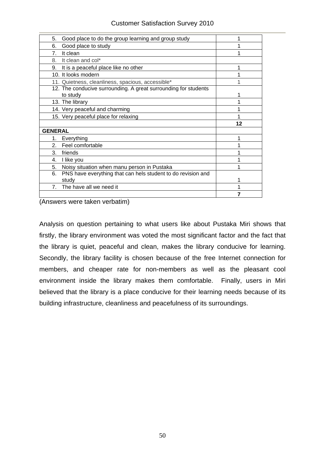| 5.<br>Good place to do the group learning and group study                   |    |
|-----------------------------------------------------------------------------|----|
| Good place to study<br>6.                                                   |    |
| It clean<br>7.                                                              |    |
| It clean and col*<br>8.                                                     |    |
| 9.<br>It is a peaceful place like no other                                  |    |
| 10. It looks modern                                                         |    |
| 11. Quietness, cleanliness, spacious, accessible*                           |    |
| 12. The conducive surrounding. A great surrounding for students<br>to study |    |
| 13. The library                                                             |    |
| 14. Very peaceful and charming                                              |    |
| 15. Very peaceful place for relaxing                                        |    |
|                                                                             | 12 |
| <b>GENERAL</b>                                                              |    |
| Everything<br>1.                                                            |    |
| 2.<br>Feel comfortable                                                      |    |
| 3.<br>friends                                                               |    |
| I like you<br>4.                                                            |    |
| 5.<br>Noisy situation when manu person in Pustaka                           |    |
| PNS have everything that can hels student to do revision and<br>6.<br>studv |    |
| The have all we need it<br>7.                                               |    |
|                                                                             |    |

(Answers were taken verbatim)

Analysis on question pertaining to what users like about Pustaka Miri shows that firstly, the library environment was voted the most significant factor and the fact that the library is quiet, peaceful and clean, makes the library conducive for learning. Secondly, the library facility is chosen because of the free Internet connection for members, and cheaper rate for non-members as well as the pleasant cool environment inside the library makes them comfortable. Finally, users in Miri believed that the library is a place conducive for their learning needs because of its building infrastructure, cleanliness and peacefulness of its surroundings.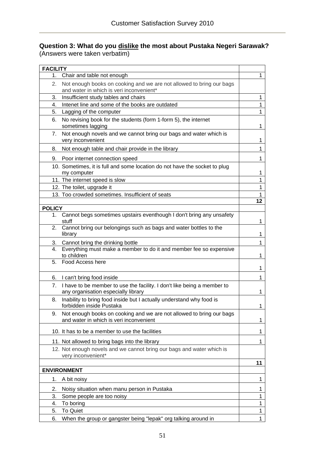## **Question 3: What do you dislike the most about Pustaka Negeri Sarawak?**  (Answers were taken verbatim)

| <b>FACILITY</b> |                                                                                                                   |              |  |  |  |  |
|-----------------|-------------------------------------------------------------------------------------------------------------------|--------------|--|--|--|--|
| 1.              | Chair and table not enough                                                                                        |              |  |  |  |  |
| 2.              | Not enough books on cooking and we are not allowed to bring our bags<br>and water in which is veri inconvenient*  |              |  |  |  |  |
| 3.              | Insufficient study tables and chairs                                                                              |              |  |  |  |  |
| 4.              | Intenet line and some of the books are outdated                                                                   |              |  |  |  |  |
| 5.              | Lagging of the computer                                                                                           |              |  |  |  |  |
| 6.              | No revising book for the students (form 1-form 5), the internet<br>sometimes lagging                              |              |  |  |  |  |
| 7.              | Not enough novels and we cannot bring our bags and water which is<br>very inconvenient                            |              |  |  |  |  |
| 8.              | Not enough table and chair provide in the library                                                                 |              |  |  |  |  |
| 9.              | Poor internet connection speed                                                                                    | 1            |  |  |  |  |
|                 | 10. Sometimes, it is full and some location do not have the socket to plug<br>my computer                         | 1            |  |  |  |  |
|                 | 11. The internet speed is slow                                                                                    | $\mathbf{1}$ |  |  |  |  |
|                 | 12. The toilet, upgrade it                                                                                        | $\mathbf{1}$ |  |  |  |  |
|                 | 13. Too crowded sometimes. Insufficient of seats                                                                  | 1            |  |  |  |  |
|                 |                                                                                                                   | 12           |  |  |  |  |
| <b>POLICY</b>   |                                                                                                                   |              |  |  |  |  |
| 1.              | Cannot begs sometimes upstairs eventhough I don't bring any unsafety<br>stuff                                     | 1            |  |  |  |  |
|                 | 2. Cannot bring our belongings such as bags and water bottles to the<br>library                                   | 1            |  |  |  |  |
| 3.              | Cannot bring the drinking bottle                                                                                  | 1            |  |  |  |  |
| 4.              | Everything must make a member to do it and member fee so expensive<br>to children                                 | 1            |  |  |  |  |
| 5.              | Food Access here                                                                                                  | 1            |  |  |  |  |
| 6.              | I can't bring food inside                                                                                         | 1            |  |  |  |  |
|                 | 7. I have to be member to use the facility. I don't like being a member to<br>any organisation especially library | 1            |  |  |  |  |
| 8.              | Inability to bring food inside but I actually understand why food is<br>forbidden inside Pustaka                  | 1            |  |  |  |  |
| 9.              | Not enough books on cooking and we are not allowed to bring our bags<br>and water in which is veri inconvenient   |              |  |  |  |  |
|                 | 10. It has to be a member to use the facilities                                                                   | 1            |  |  |  |  |
|                 | 11. Not allowed to bring bags into the library                                                                    | 1            |  |  |  |  |
|                 | 12. Not enough novels and we cannot bring our bags and water which is<br>very inconvenient*                       |              |  |  |  |  |
|                 |                                                                                                                   | 11           |  |  |  |  |
|                 | <b>ENVIRONMENT</b>                                                                                                |              |  |  |  |  |
| 1.              | A bit noisy                                                                                                       | 1            |  |  |  |  |
| 2.              | Noisy situation when manu person in Pustaka                                                                       | 1            |  |  |  |  |
| 3.              | Some people are too noisy                                                                                         | 1            |  |  |  |  |
| 4.              | To boring                                                                                                         |              |  |  |  |  |
| 5.              | To Quiet                                                                                                          | 1            |  |  |  |  |
| 6.              | When the group or gangster being "lepak" org talking around in                                                    | 1            |  |  |  |  |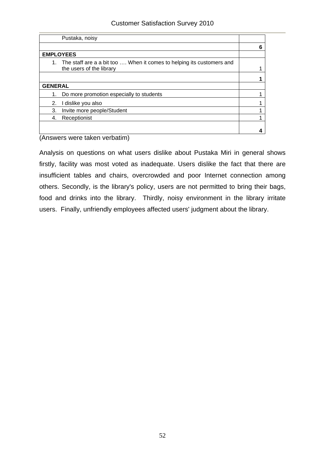| Pustaka, noisy   |                                                                                                   |   |
|------------------|---------------------------------------------------------------------------------------------------|---|
|                  |                                                                                                   | 6 |
| <b>EMPLOYEES</b> |                                                                                                   |   |
| 1.               | The staff are a a bit too  When it comes to helping its customers and<br>the users of the library |   |
|                  |                                                                                                   |   |
| <b>GENERAL</b>   |                                                                                                   |   |
| 1.               | Do more promotion especially to students                                                          |   |
| 2.               | I dislike you also                                                                                |   |
| 3.               | Invite more people/Student                                                                        |   |
| 4.               | Receptionist                                                                                      |   |
|                  |                                                                                                   |   |

(Answers were taken verbatim)

Analysis on questions on what users dislike about Pustaka Miri in general shows firstly, facility was most voted as inadequate. Users dislike the fact that there are insufficient tables and chairs, overcrowded and poor Internet connection among others. Secondly, is the library's policy, users are not permitted to bring their bags, food and drinks into the library. Thirdly, noisy environment in the library irritate users. Finally, unfriendly employees affected users' judgment about the library.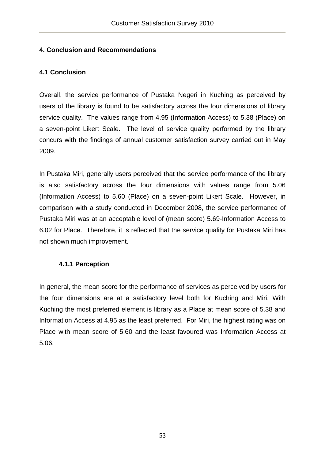## **4. Conclusion and Recommendations**

## **4.1 Conclusion**

Overall, the service performance of Pustaka Negeri in Kuching as perceived by users of the library is found to be satisfactory across the four dimensions of library service quality. The values range from 4.95 (Information Access) to 5.38 (Place) on a seven-point Likert Scale. The level of service quality performed by the library concurs with the findings of annual customer satisfaction survey carried out in May 2009.

In Pustaka Miri, generally users perceived that the service performance of the library is also satisfactory across the four dimensions with values range from 5.06 (Information Access) to 5.60 (Place) on a seven-point Likert Scale. However, in comparison with a study conducted in December 2008, the service performance of Pustaka Miri was at an acceptable level of (mean score) 5.69-Information Access to 6.02 for Place. Therefore, it is reflected that the service quality for Pustaka Miri has not shown much improvement.

## **4.1.1 Perception**

In general, the mean score for the performance of services as perceived by users for the four dimensions are at a satisfactory level both for Kuching and Miri. With Kuching the most preferred element is library as a Place at mean score of 5.38 and Information Access at 4.95 as the least preferred. For Miri, the highest rating was on Place with mean score of 5.60 and the least favoured was Information Access at 5.06.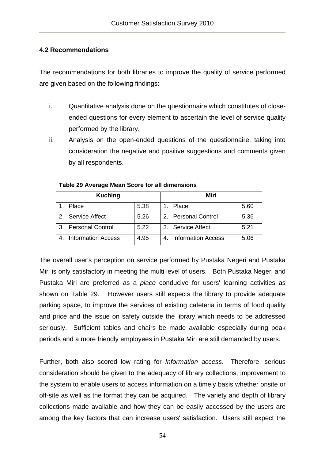## **4.2 Recommendations**

The recommendations for both libraries to improve the quality of service performed are given based on the following findings:

- i. Quantitative analysis done on the questionnaire which constitutes of closeended questions for every element to ascertain the level of service quality performed by the library.
- ii. Analysis on the open-ended questions of the questionnaire, taking into consideration the negative and positive suggestions and comments given by all respondents.

| <b>Kuching</b>            |      | Miri                          |
|---------------------------|------|-------------------------------|
| Place                     | 5.38 | 5.60<br>Place                 |
| 2. Service Affect         | 5.26 | 2. Personal Control<br>5.36   |
| 3. Personal Control       | 5.22 | 5.21<br>3. Service Affect     |
| <b>Information Access</b> | 4.95 | 5.06<br>4. Information Access |

## **Table 29 Average Mean Score for all dimensions**

The overall user's perception on service performed by Pustaka Negeri and Pustaka Miri is only satisfactory in meeting the multi level of users. Both Pustaka Negeri and Pustaka Miri are preferred as a *place* conducive for users' learning activities as shown on Table 29. However users still expects the library to provide adequate parking space, to improve the services of existing cafeteria in terms of food quality and price and the issue on safety outside the library which needs to be addressed seriously. Sufficient tables and chairs be made available especially during peak periods and a more friendly employees in Pustaka Miri are still demanded by users.

Further, both also scored low rating for *Information access*. Therefore, serious consideration should be given to the adequacy of library collections, improvement to the system to enable users to access information on a timely basis whether onsite or off-site as well as the format they can be acquired. The variety and depth of library collections made available and how they can be easily accessed by the users are among the key factors that can increase users' satisfaction. Users still expect the